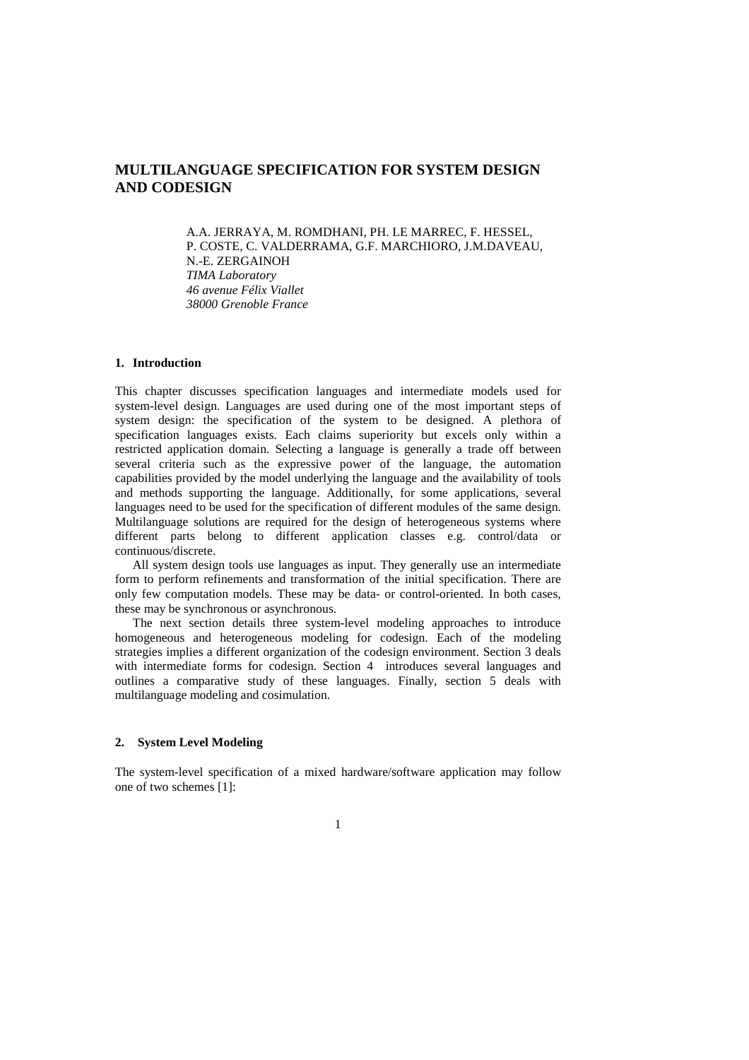# **MULTILANGUAGE SPECIFICATION FOR SYSTEM DESIGN AND CODESIGN**

A.A. JERRAYA, M. ROMDHANI, PH. LE MARREC, F. HESSEL, P. COSTE, C. VALDERRAMA, G.F. MARCHIORO, J.M.DAVEAU, N.-E. ZERGAINOH *TIMA Laboratory 46 avenue Félix Viallet 38000 Grenoble France*

### **1. Introduction**

This chapter discusses specification languages and intermediate models used for system-level design. Languages are used during one of the most important steps of system design: the specification of the system to be designed. A plethora of specification languages exists. Each claims superiority but excels only within a restricted application domain. Selecting a language is generally a trade off between several criteria such as the expressive power of the language, the automation capabilities provided by the model underlying the language and the availability of tools and methods supporting the language. Additionally, for some applications, several languages need to be used for the specification of different modules of the same design. Multilanguage solutions are required for the design of heterogeneous systems where different parts belong to different application classes e.g. control/data or continuous/discrete.

All system design tools use languages as input. They generally use an intermediate form to perform refinements and transformation of the initial specification. There are only few computation models. These may be data- or control-oriented. In both cases, these may be synchronous or asynchronous.

The next section details three system-level modeling approaches to introduce homogeneous and heterogeneous modeling for codesign. Each of the modeling strategies implies a different organization of the codesign environment. Section 3 deals with intermediate forms for codesign. Section 4 introduces several languages and outlines a comparative study of these languages. Finally, section 5 deals with multilanguage modeling and cosimulation.

# **2. System Level Modeling**

The system-level specification of a mixed hardware/software application may follow one of two schemes [1]: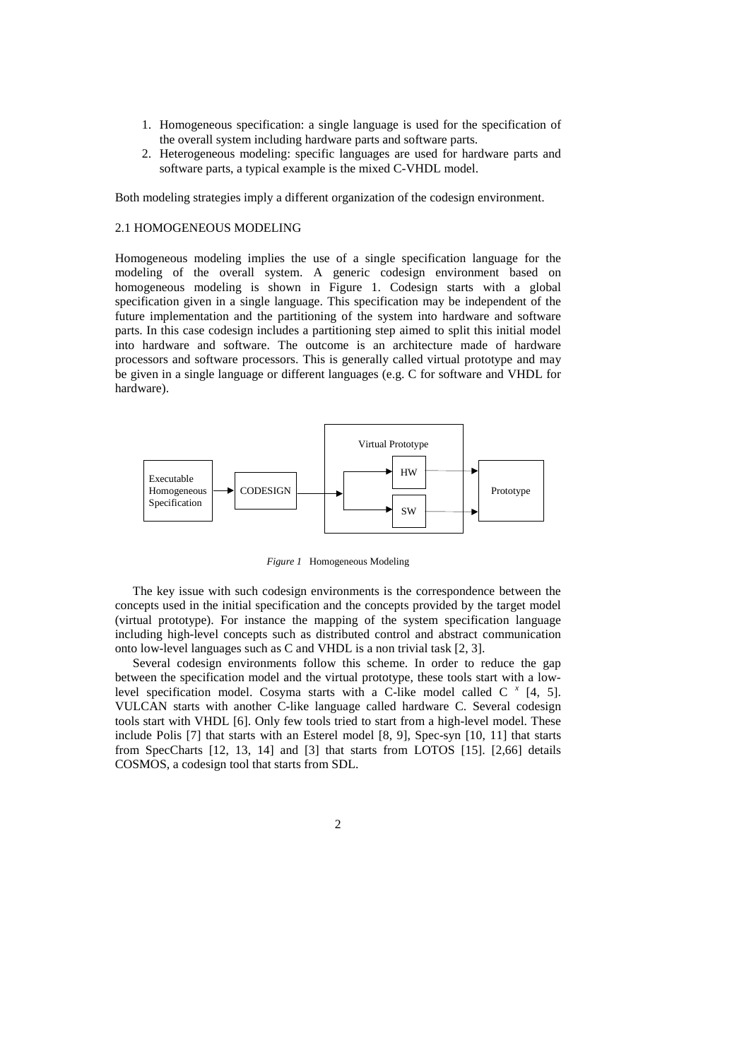- 1. Homogeneous specification: a single language is used for the specification of the overall system including hardware parts and software parts.
- 2. Heterogeneous modeling: specific languages are used for hardware parts and software parts, a typical example is the mixed C-VHDL model.

Both modeling strategies imply a different organization of the codesign environment.

# 2.1 HOMOGENEOUS MODELING

Homogeneous modeling implies the use of a single specification language for the modeling of the overall system. A generic codesign environment based on homogeneous modeling is shown in Figure 1. Codesign starts with a global specification given in a single language. This specification may be independent of the future implementation and the partitioning of the system into hardware and software parts. In this case codesign includes a partitioning step aimed to split this initial model into hardware and software. The outcome is an architecture made of hardware processors and software processors. This is generally called virtual prototype and may be given in a single language or different languages (e.g. C for software and VHDL for hardware).



*Figure 1* Homogeneous Modeling

The key issue with such codesign environments is the correspondence between the concepts used in the initial specification and the concepts provided by the target model (virtual prototype). For instance the mapping of the system specification language including high-level concepts such as distributed control and abstract communication onto low-level languages such as C and VHDL is a non trivial task [2, 3].

Several codesign environments follow this scheme. In order to reduce the gap between the specification model and the virtual prototype, these tools start with a lowlevel specification model. Cosyma starts with a C-like model called  $C^{x}$  [4, 5]. VULCAN starts with another C-like language called hardware C. Several codesign tools start with VHDL [6]. Only few tools tried to start from a high-level model. These include Polis [7] that starts with an Esterel model [8, 9], Spec-syn [10, 11] that starts from SpecCharts [12, 13, 14] and [3] that starts from LOTOS [15]. [2,66] details COSMOS, a codesign tool that starts from SDL.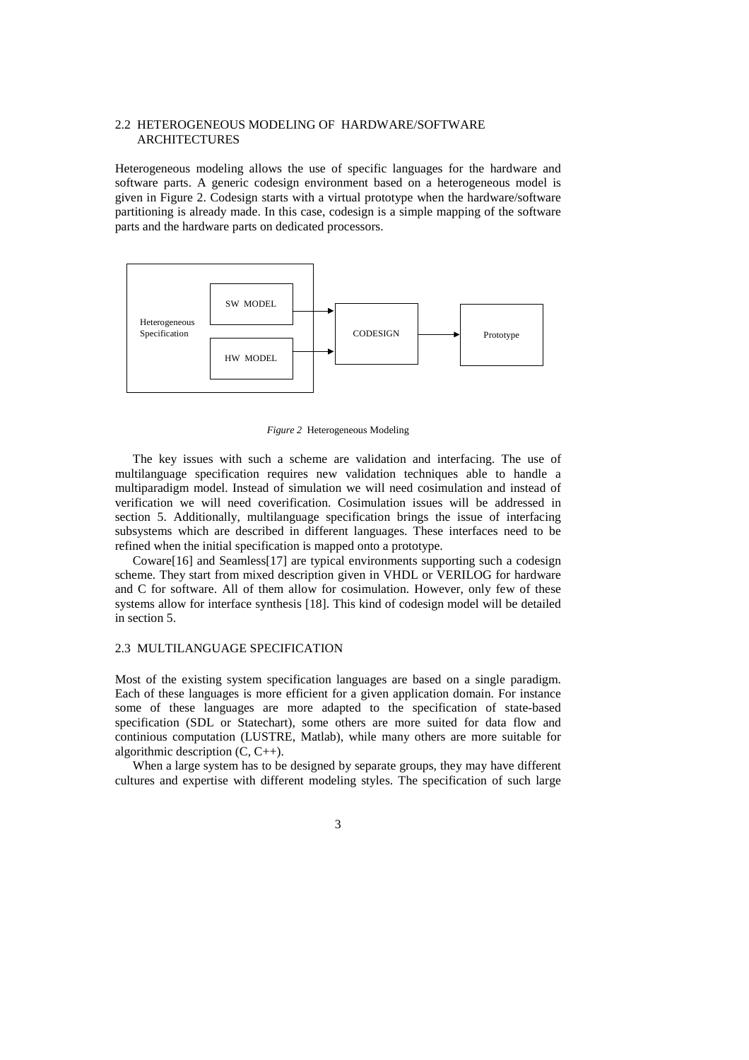# 2.2 HETEROGENEOUS MODELING OF HARDWARE/SOFTWARE **ARCHITECTURES**

Heterogeneous modeling allows the use of specific languages for the hardware and software parts. A generic codesign environment based on a heterogeneous model is given in Figure 2. Codesign starts with a virtual prototype when the hardware/software partitioning is already made. In this case, codesign is a simple mapping of the software parts and the hardware parts on dedicated processors.



*Figure 2* Heterogeneous Modeling

The key issues with such a scheme are validation and interfacing. The use of multilanguage specification requires new validation techniques able to handle a multiparadigm model. Instead of simulation we will need cosimulation and instead of verification we will need coverification. Cosimulation issues will be addressed in section 5. Additionally, multilanguage specification brings the issue of interfacing subsystems which are described in different languages. These interfaces need to be refined when the initial specification is mapped onto a prototype.

Coware[16] and Seamless[17] are typical environments supporting such a codesign scheme. They start from mixed description given in VHDL or VERILOG for hardware and C for software. All of them allow for cosimulation. However, only few of these systems allow for interface synthesis [18]. This kind of codesign model will be detailed in section 5.

# 2.3 MULTILANGUAGE SPECIFICATION

Most of the existing system specification languages are based on a single paradigm. Each of these languages is more efficient for a given application domain. For instance some of these languages are more adapted to the specification of state-based specification (SDL or Statechart), some others are more suited for data flow and continious computation (LUSTRE, Matlab), while many others are more suitable for algorithmic description (C, C++).

When a large system has to be designed by separate groups, they may have different cultures and expertise with different modeling styles. The specification of such large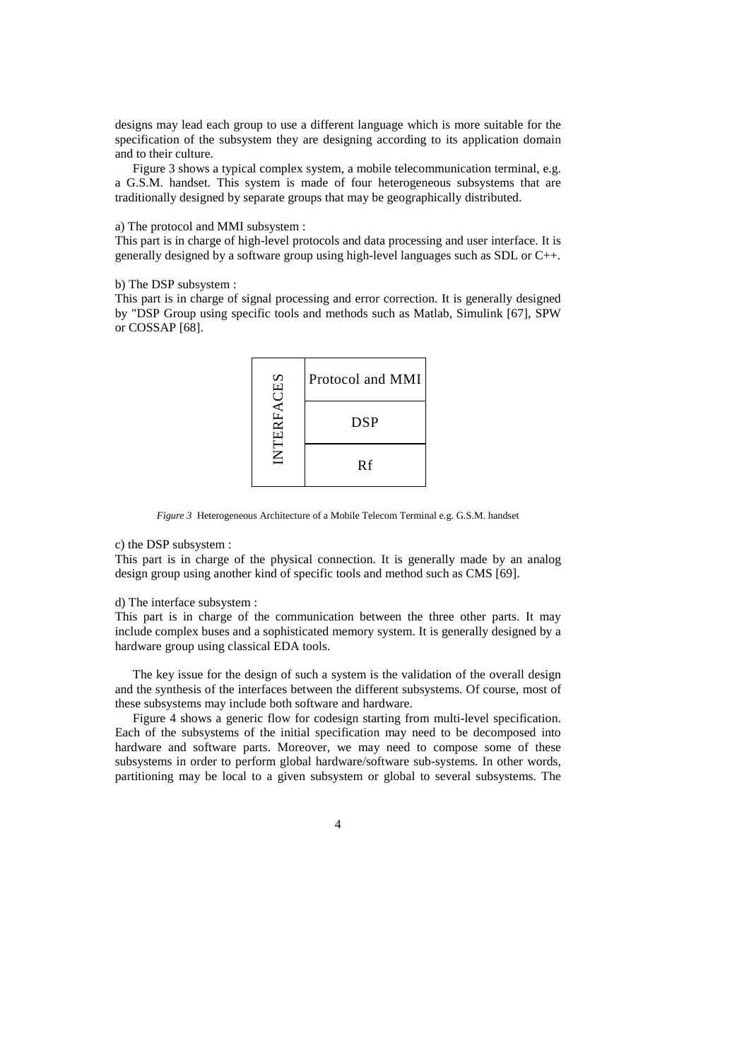designs may lead each group to use a different language which is more suitable for the specification of the subsystem they are designing according to its application domain and to their culture.

Figure 3 shows a typical complex system, a mobile telecommunication terminal, e.g. a G.S.M. handset. This system is made of four heterogeneous subsystems that are traditionally designed by separate groups that may be geographically distributed.

# a) The protocol and MMI subsystem :

This part is in charge of high-level protocols and data processing and user interface. It is generally designed by a software group using high-level languages such as SDL or C++.

## b) The DSP subsystem :

This part is in charge of signal processing and error correction. It is generally designed by "DSP Group using specific tools and methods such as Matlab, Simulink [67], SPW or COSSAP [68].



*Figure 3*Heterogeneous Architecture of a Mobile Telecom Terminal e.g. G.S.M. handset

# c) the DSP subsystem :

This part is in charge of the physical connection. It is generally made by an analog design group using another kind of specific tools and method such as CMS [69].

#### d) The interface subsystem :

This part is in charge of the communication between the three other parts. It may include complex buses and a sophisticated memory system. It is generally designed by a hardware group using classical EDA tools.

The key issue for the design of such a system is the validation of the overall design and the synthesis of the interfaces between the different subsystems. Of course, most of these subsystems may include both software and hardware.

Figure 4 shows a generic flow for codesign starting from multi-level specification. Each of the subsystems of the initial specification may need to be decomposed into hardware and software parts. Moreover, we may need to compose some of these subsystems in order to perform global hardware/software sub-systems. In other words, partitioning may be local to a given subsystem or global to several subsystems.<br>This part is in charge of the physical connection. It is generally made by an analog compusing proup using another kend of specific tools and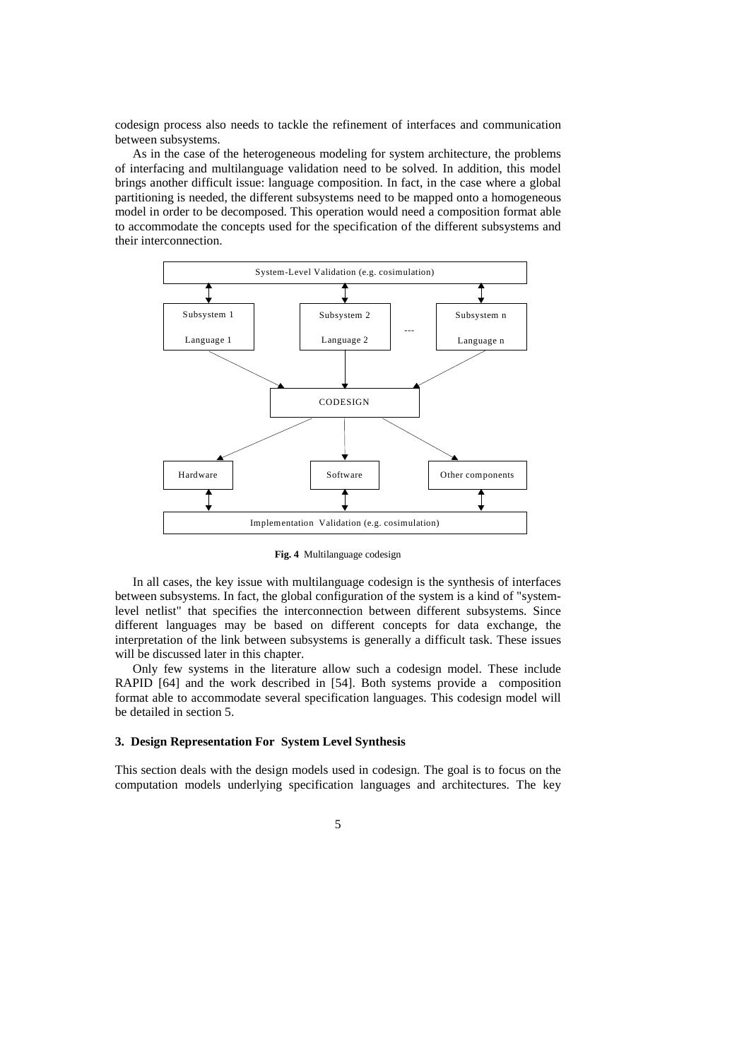codesign process also needs to tackle the refinement of interfaces and communication between subsystems.

As in the case of the heterogeneous modeling for system architecture, the problems of interfacing and multilanguage validation need to be solved. In addition, this model brings another difficult issue: language composition. In fact, in the case where a global partitioning is needed, the different subsystems need to be mapped onto a homogeneous model in order to be decomposed. This operation would need a composition format able to accommodate the concepts used for the specification of the different subsystems and their interconnection.



**Fig. 4** Multilanguage codesign

In all cases, the key issue with multilanguage codesign is the synthesis of interfaces between subsystems. In fact, the global configuration of the system is a kind of "systemlevel netlist" that specifies the interconnection between different subsystems. Since different languages may be based on different concepts for data exchange, the interpretation of the link between subsystems is generally a difficult task. These issues will be discussed later in this chapter.

Only few systems in the literature allow such a codesign model. These include RAPID [64] and the work described in [54]. Both systems provide a composition format able to accommodate several specification languages. This codesign model will be detailed in section 5.

#### **3. Design Representation For System Level Synthesis**

This section deals with the design models used in codesign. The goal is to focus on the computation models underlying specification languages and architectures. The key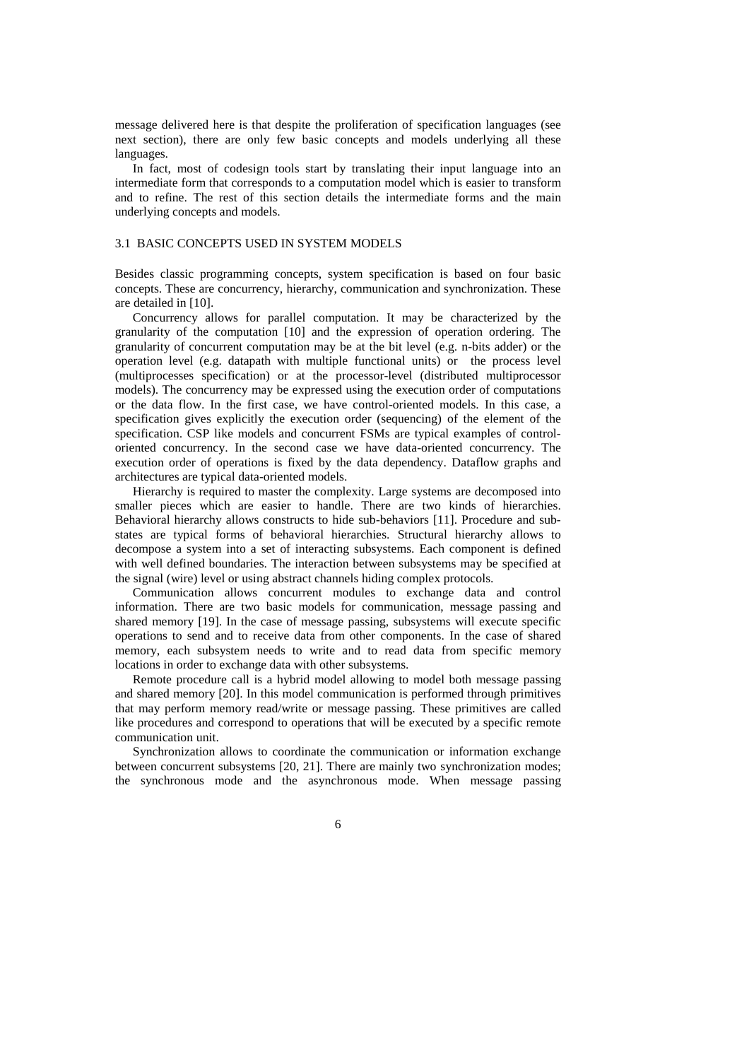message delivered here is that despite the proliferation of specification languages (see next section), there are only few basic concepts and models underlying all these languages.

In fact, most of codesign tools start by translating their input language into an intermediate form that corresponds to a computation model which is easier to transform and to refine. The rest of this section details the intermediate forms and the main underlying concepts and models.

### 3.1 BASIC CONCEPTS USED IN SYSTEM MODELS

Besides classic programming concepts, system specification is based on four basic concepts. These are concurrency, hierarchy, communication and synchronization. These are detailed in [10].

Concurrency allows for parallel computation. It may be characterized by the granularity of the computation [10] and the expression of operation ordering. The granularity of concurrent computation may be at the bit level (e.g. n-bits adder) or the operation level (e.g. datapath with multiple functional units) or the process level (multiprocesses specification) or at the processor-level (distributed multiprocessor models). The concurrency may be expressed using the execution order of computations or the data flow. In the first case, we have control-oriented models. In this case, a specification gives explicitly the execution order (sequencing) of the element of the specification. CSP like models and concurrent FSMs are typical examples of controloriented concurrency. In the second case we have data-oriented concurrency. The execution order of operations is fixed by the data dependency. Dataflow graphs and architectures are typical data-oriented models.

Hierarchy is required to master the complexity. Large systems are decomposed into smaller pieces which are easier to handle. There are two kinds of hierarchies. Behavioral hierarchy allows constructs to hide sub-behaviors [11]. Procedure and substates are typical forms of behavioral hierarchies. Structural hierarchy allows to decompose a system into a set of interacting subsystems. Each component is defined with well defined boundaries. The interaction between subsystems may be specified at the signal (wire) level or using abstract channels hiding complex protocols.

Communication allows concurrent modules to exchange data and control information. There are two basic models for communication, message passing and shared memory [19]. In the case of message passing, subsystems will execute specific operations to send and to receive data from other components. In the case of shared memory, each subsystem needs to write and to read data from specific memory locations in order to exchange data with other subsystems.

Remote procedure call is a hybrid model allowing to model both message passing and shared memory [20]. In this model communication is performed through primitives that may perform memory read/write or message passing. These primitives are called like procedures and correspond to operations that will be executed by a specific remote communication unit.

Synchronization allows to coordinate the communication or information exchange between concurrent subsystems [20, 21]. There are mainly two synchronization modes; the synchronous mode and the asynchronous mode. When message passing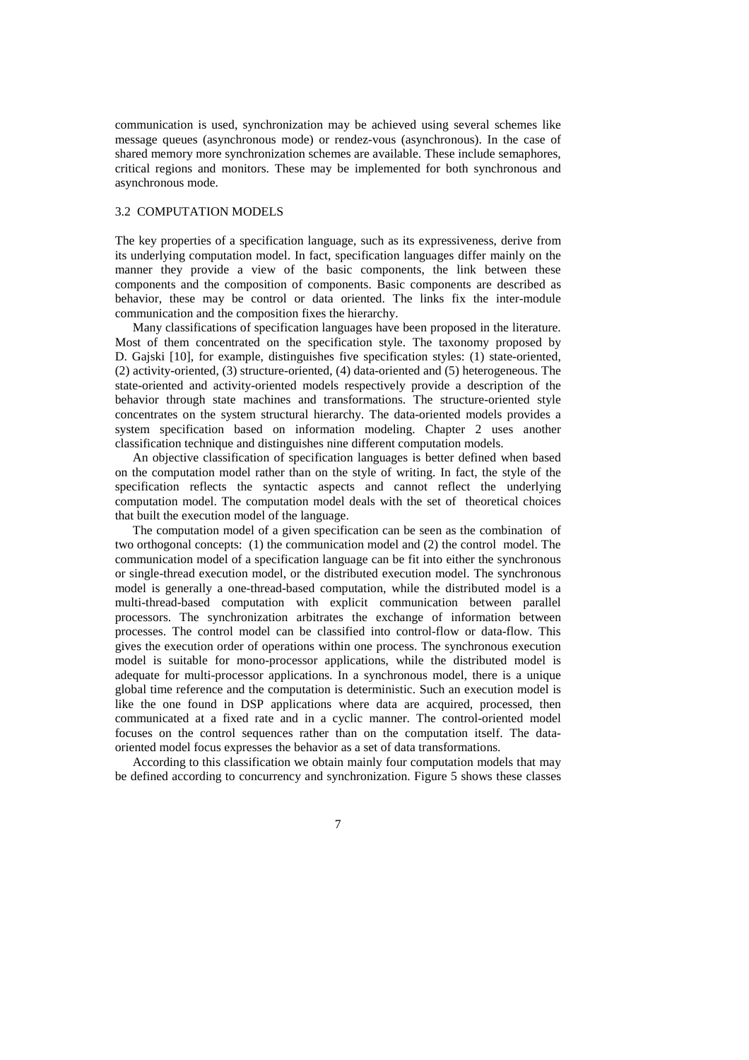communication is used, synchronization may be achieved using several schemes like message queues (asynchronous mode) or rendez-vous (asynchronous). In the case of shared memory more synchronization schemes are available. These include semaphores, critical regions and monitors. These may be implemented for both synchronous and asynchronous mode.

# 3.2 COMPUTATION MODELS

The key properties of a specification language, such as its expressiveness, derive from its underlying computation model. In fact, specification languages differ mainly on the manner they provide a view of the basic components, the link between these components and the composition of components. Basic components are described as behavior, these may be control or data oriented. The links fix the inter-module communication and the composition fixes the hierarchy.

Many classifications of specification languages have been proposed in the literature. Most of them concentrated on the specification style. The taxonomy proposed by D. Gajski [10], for example, distinguishes five specification styles: (1) state-oriented, (2) activity-oriented, (3) structure-oriented, (4) data-oriented and (5) heterogeneous. The state-oriented and activity-oriented models respectively provide a description of the behavior through state machines and transformations. The structure-oriented style concentrates on the system structural hierarchy. The data-oriented models provides a system specification based on information modeling. Chapter 2 uses another classification technique and distinguishes nine different computation models.

An objective classification of specification languages is better defined when based on the computation model rather than on the style of writing. In fact, the style of the specification reflects the syntactic aspects and cannot reflect the underlying computation model. The computation model deals with the set of theoretical choices that built the execution model of the language.

The computation model of a given specification can be seen as the combination of two orthogonal concepts: (1) the communication model and (2) the control model. The communication model of a specification language can be fit into either the synchronous or single-thread execution model, or the distributed execution model. The synchronous model is generally a one-thread-based computation, while the distributed model is a multi-thread-based computation with explicit communication between parallel processors. The synchronization arbitrates the exchange of information between processes. The control model can be classified into control-flow or data-flow. This gives the execution order of operations within one process. The synchronous execution model is suitable for mono-processor applications, while the distributed model is adequate for multi-processor applications. In a synchronous model, there is a unique global time reference and the computation is deterministic. Such an execution model is like the one found in DSP applications where data are acquired, processed, then communicated at a fixed rate and in a cyclic manner. The control-oriented model focuses on the control sequences rather than on the computation itself. The dataoriented model focus expresses the behavior as a set of data transformations.

According to this classification we obtain mainly four computation models that may be defined according to concurrency and synchronization. Figure 5 shows these classes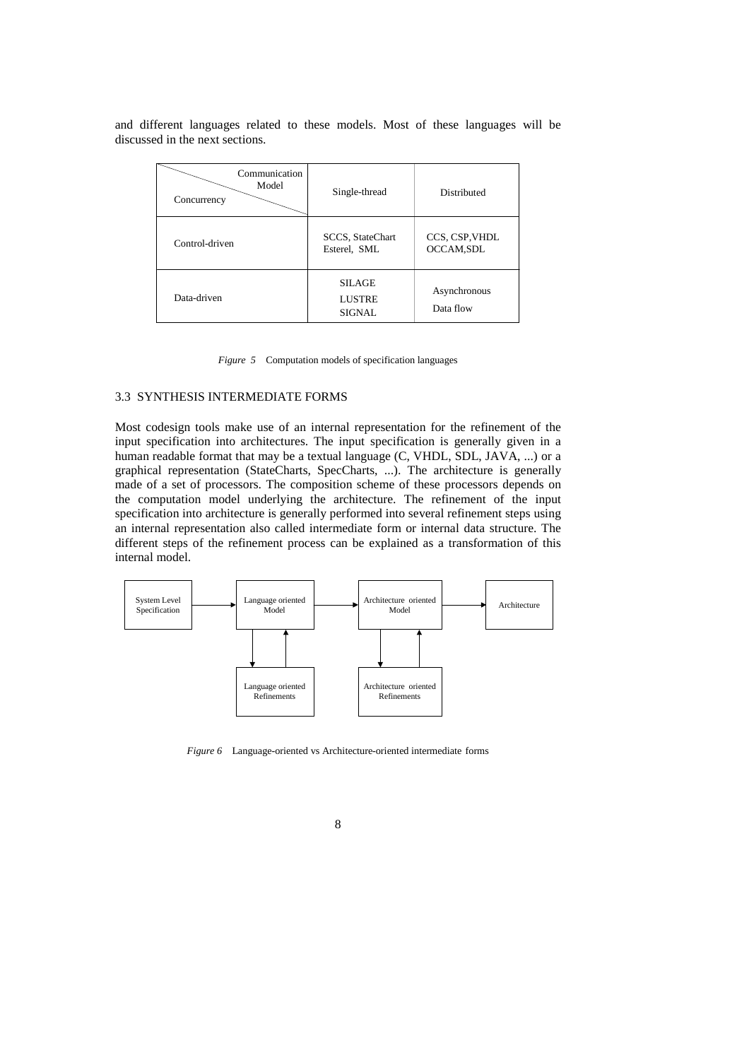and different languages related to these models. Most of these languages will be discussed in the next sections.

| Communication<br>Model<br>Concurrency | Single-thread                            | Distributed                  |  |  |
|---------------------------------------|------------------------------------------|------------------------------|--|--|
| Control-driven                        | <b>SCCS, StateChart</b><br>Esterel, SML  | CCS, CSP, VHDL<br>OCCAM, SDL |  |  |
| Data-driven                           | <b>SILAGE</b><br><b>LUSTRE</b><br>SIGNAL | Asynchronous<br>Data flow    |  |  |

*Figure 5* Computation models of specification languages

# 3.3 SYNTHESIS INTERMEDIATE FORMS

Most codesign tools make use of an internal representation for the refinement of the input specification into architectures. The input specification is generally given in a human readable format that may be a textual language (C, VHDL, SDL, JAVA, ...) or a graphical representation (StateCharts, SpecCharts, ...). The architecture is generally made of a set of processors. The composition scheme of these processors depends on the computation model underlying the architecture. The refinement of the input specification into architecture is generally performed into several refinement steps using an internal representation also called intermediate form or internal data structure. The different steps of the refinement process can be explained as a transformation of this internal model.



*Figure 6*Language-oriented vs Architecture-oriented intermediate forms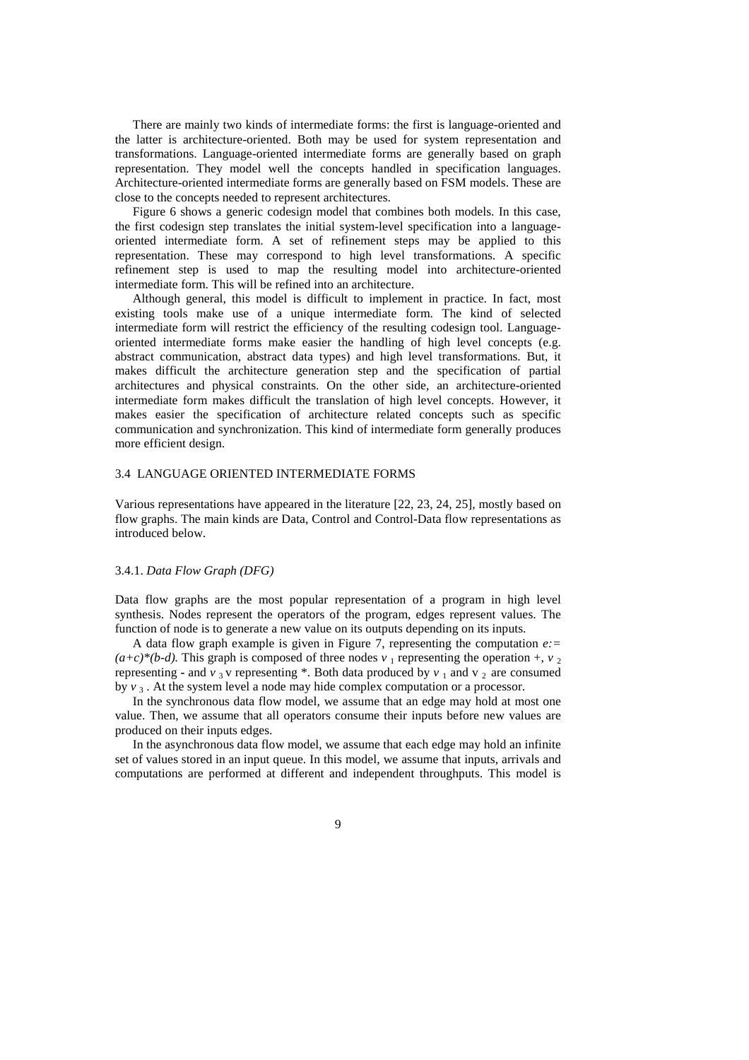There are mainly two kinds of intermediate forms: the first is language-oriented and the latter is architecture-oriented. Both may be used for system representation and transformations. Language-oriented intermediate forms are generally based on graph representation. They model well the concepts handled in specification languages. Architecture-oriented intermediate forms are generally based on FSM models. These are close to the concepts needed to represent architectures.

Figure 6 shows a generic codesign model that combines both models. In this case, the first codesign step translates the initial system-level specification into a languageoriented intermediate form. A set of refinement steps may be applied to this representation. These may correspond to high level transformations. A specific refinement step is used to map the resulting model into architecture-oriented intermediate form. This will be refined into an architecture.

Although general, this model is difficult to implement in practice. In fact, most existing tools make use of a unique intermediate form. The kind of selected intermediate form will restrict the efficiency of the resulting codesign tool. Languageoriented intermediate forms make easier the handling of high level concepts (e.g. abstract communication, abstract data types) and high level transformations. But, it makes difficult the architecture generation step and the specification of partial architectures and physical constraints. On the other side, an architecture-oriented intermediate form makes difficult the translation of high level concepts. However, it makes easier the specification of architecture related concepts such as specific communication and synchronization. This kind of intermediate form generally produces more efficient design.

# 3.4 LANGUAGE ORIENTED INTERMEDIATE FORMS

Various representations have appeared in the literature [22, 23, 24, 25], mostly based on flow graphs. The main kinds are Data, Control and Control-Data flow representations as introduced below.

#### 3.4.1. *Data Flow Graph (DFG)*

Data flow graphs are the most popular representation of a program in high level synthesis. Nodes represent the operators of the program, edges represent values. The function of node is to generate a new value on its outputs depending on its inputs.

A data flow graph example is given in Figure 7, representing the computation *e:=*  $(a+c)*(b-d)$ . This graph is composed of three nodes  $v_1$  representing the operation +,  $v_2$ representing  $\cdot$  and  $v_3v$  representing  $\cdot$ . Both data produced by  $v_1$  and  $v_2$  are consumed by  $v_3$ . At the system level a node may hide complex computation or a processor.

In the synchronous data flow model, we assume that an edge may hold at most one value. Then, we assume that all operators consume their inputs before new values are produced on their inputs edges.

In the asynchronous data flow model, we assume that each edge may hold an infinite set of values stored in an input queue. In this model, we assume that inputs, arrivals and computations are performed at different and independent throughputs. This model is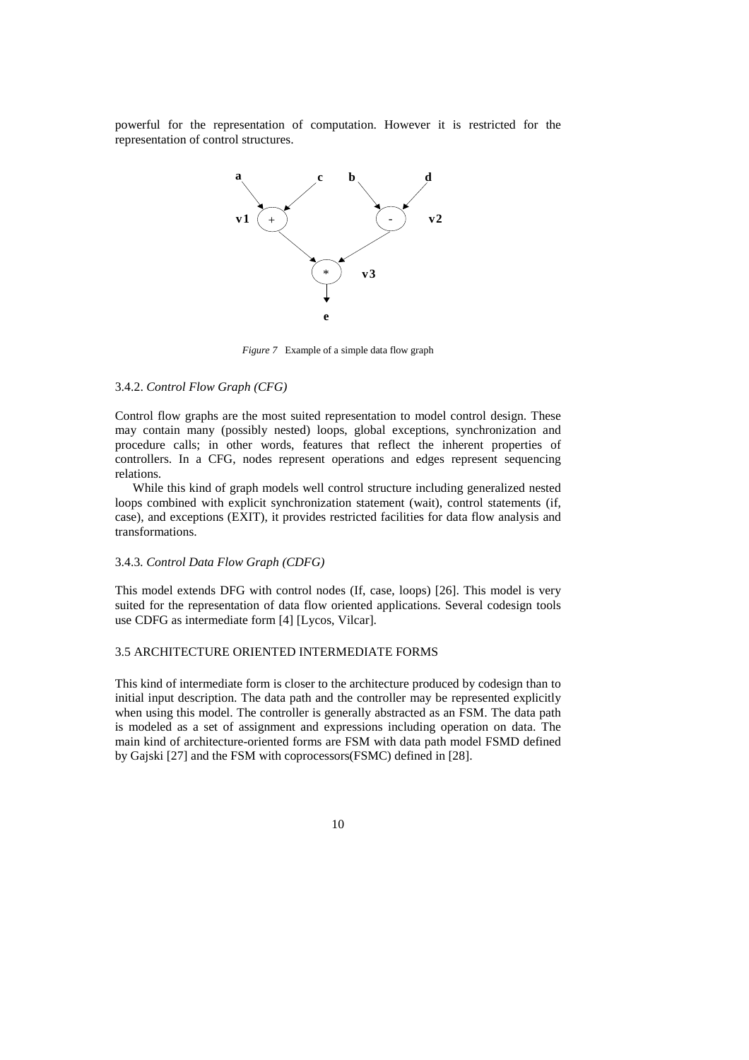powerful for the representation of computation. However it is restricted for the representation of control structures.



*Figure 7* Example of a simple data flow graph

# 3.4.2. *Control Flow Graph (CFG)*

Control flow graphs are the most suited representation to model control design. These may contain many (possibly nested) loops, global exceptions, synchronization and procedure calls; in other words, features that reflect the inherent properties of controllers. In a CFG, nodes represent operations and edges represent sequencing relations.

While this kind of graph models well control structure including generalized nested loops combined with explicit synchronization statement (wait), control statements (if, case), and exceptions (EXIT), it provides restricted facilities for data flow analysis and transformations.

### 3.4.3*. Control Data Flow Graph (CDFG)*

This model extends DFG with control nodes (If, case, loops) [26]. This model is very suited for the representation of data flow oriented applications. Several codesign tools use CDFG as intermediate form [4] [Lycos, Vilcar].

## 3.5 ARCHITECTURE ORIENTED INTERMEDIATE FORMS

This kind of intermediate form is closer to the architecture produced by codesign than to initial input description. The data path and the controller may be represented explicitly when using this model. The controller is generally abstracted as an FSM. The data path is modeled as a set of assignment and expressions including operation on data. The main kind of architecture-oriented forms are FSM with data path model FSMD defined by Gajski [27] and the FSM with coprocessors(FSMC) defined in [28].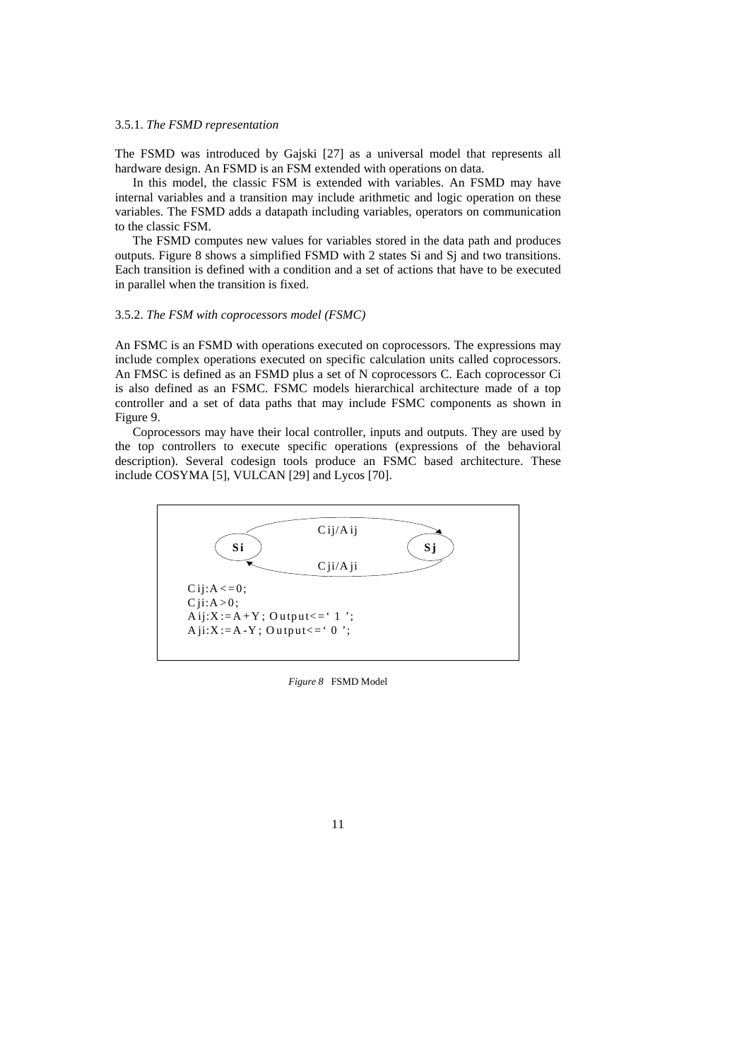#### 3.5.1. *The FSMD representation*

The FSMD was introduced by Gajski [27] as a universal model that represents all hardware design. An FSMD is an FSM extended with operations on data.

In this model, the classic FSM is extended with variables. An FSMD may have internal variables and a transition may include arithmetic and logic operation on these variables. The FSMD adds a datapath including variables, operators on communication to the classic FSM.

The FSMD computes new values for variables stored in the data path and produces outputs. Figure 8 shows a simplified FSMD with 2 states Si and Sj and two transitions. Each transition is defined with a condition and a set of actions that have to be executed in parallel when the transition is fixed.

#### 3.5.2. *The FSM with coprocessors model (FSMC)*

An FSMC is an FSMD with operations executed on coprocessors. The expressions may include complex operations executed on specific calculation units called coprocessors. An FMSC is defined as an FSMD plus a set of N coprocessors C. Each coprocessor Ci is also defined as an FSMC. FSMC models hierarchical architecture made of a top controller and a set of data paths that may include FSMC components as shown in Figure 9.

Coprocessors may have their local controller, inputs and outputs. They are used by the top controllers to execute specific operations (expressions of the behavioral description). Several codesign tools produce an FSMC based architecture. These include COSYMA [5], VULCAN [29] and Lycos [70].



*Figure 8* FSMD Model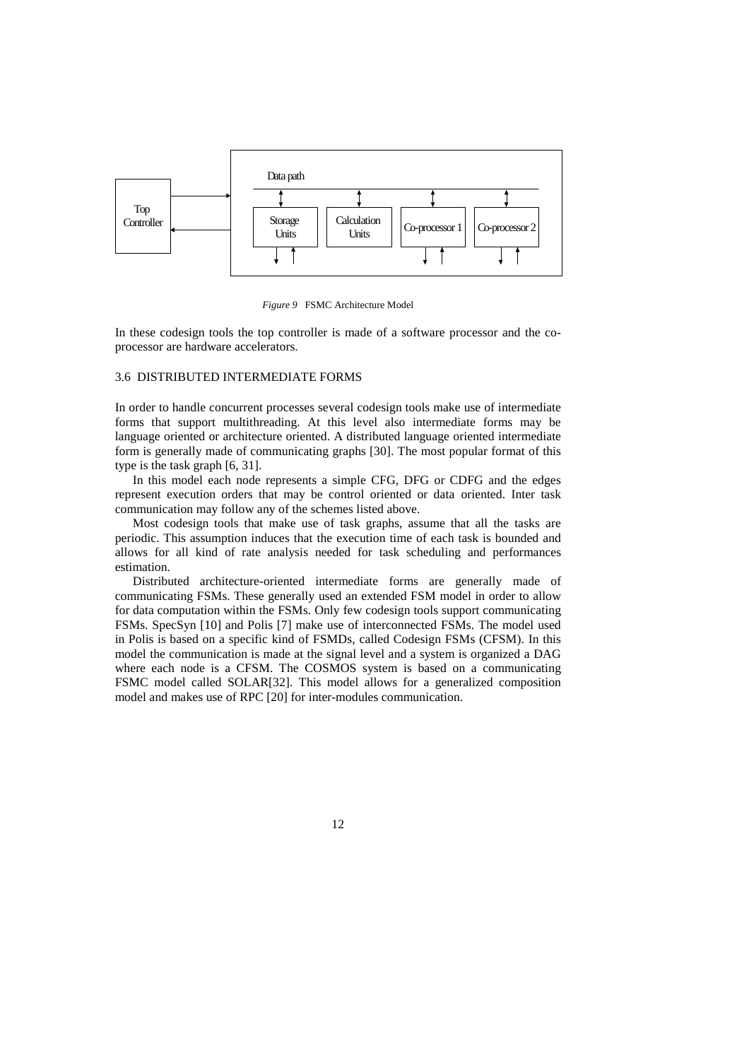

*Figure 9* FSMC Architecture Model

In these codesign tools the top controller is made of a software processor and the coprocessor are hardware accelerators.

## 3.6 DISTRIBUTED INTERMEDIATE FORMS

In order to handle concurrent processes several codesign tools make use of intermediate forms that support multithreading. At this level also intermediate forms may be language oriented or architecture oriented. A distributed language oriented intermediate form is generally made of communicating graphs [30]. The most popular format of this type is the task graph [6, 31].

In this model each node represents a simple CFG, DFG or CDFG and the edges represent execution orders that may be control oriented or data oriented. Inter task communication may follow any of the schemes listed above.

Most codesign tools that make use of task graphs, assume that all the tasks are periodic. This assumption induces that the execution time of each task is bounded and allows for all kind of rate analysis needed for task scheduling and performances estimation.

Distributed architecture-oriented intermediate forms are generally made of communicating FSMs. These generally used an extended FSM model in order to allow for data computation within the FSMs. Only few codesign tools support communicating FSMs. SpecSyn [10] and Polis [7] make use of interconnected FSMs. The model used in Polis is based on a specific kind of FSMDs, called Codesign FSMs (CFSM). In this model the communication is made at the signal level and a system is organized a DAG where each node is a CFSM. The COSMOS system is based on a communicating FSMC model called SOLAR[32]. This model allows for a generalized composition model and makes use of RPC [20] for inter-modules communication.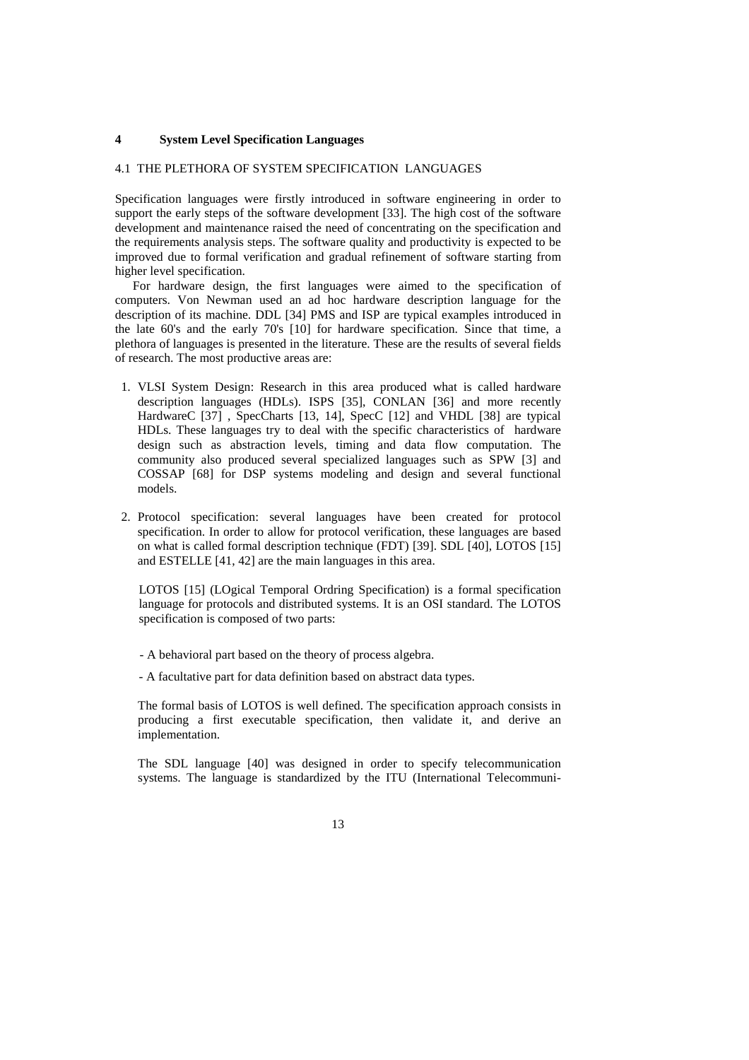# **4 System Level Specification Languages**

#### 4.1 THE PLETHORA OF SYSTEM SPECIFICATION LANGUAGES

Specification languages were firstly introduced in software engineering in order to support the early steps of the software development [33]. The high cost of the software development and maintenance raised the need of concentrating on the specification and the requirements analysis steps. The software quality and productivity is expected to be improved due to formal verification and gradual refinement of software starting from higher level specification.

For hardware design, the first languages were aimed to the specification of computers. Von Newman used an ad hoc hardware description language for the description of its machine. DDL [34] PMS and ISP are typical examples introduced in the late 60's and the early 70's [10] for hardware specification. Since that time, a plethora of languages is presented in the literature. These are the results of several fields of research. The most productive areas are:

- 1. VLSI System Design: Research in this area produced what is called hardware description languages (HDLs). ISPS [35], CONLAN [36] and more recently HardwareC [37], SpecCharts [13, 14], SpecC [12] and VHDL [38] are typical HDLs. These languages try to deal with the specific characteristics of hardware design such as abstraction levels, timing and data flow computation. The community also produced several specialized languages such as SPW [3] and COSSAP [68] for DSP systems modeling and design and several functional models.
- 2. Protocol specification: several languages have been created for protocol specification. In order to allow for protocol verification, these languages are based on what is called formal description technique (FDT) [39]. SDL [40], LOTOS [15] and ESTELLE [41, 42] are the main languages in this area.

LOTOS [15] (LOgical Temporal Ordring Specification) is a formal specification language for protocols and distributed systems. It is an OSI standard. The LOTOS specification is composed of two parts:

- A behavioral part based on the theory of process algebra.
- A facultative part for data definition based on abstract data types.

The formal basis of LOTOS is well defined. The specification approach consists in producing a first executable specification, then validate it, and derive an implementation.

The SDL language [40] was designed in order to specify telecommunication systems. The language is standardized by the ITU (International Telecommuni-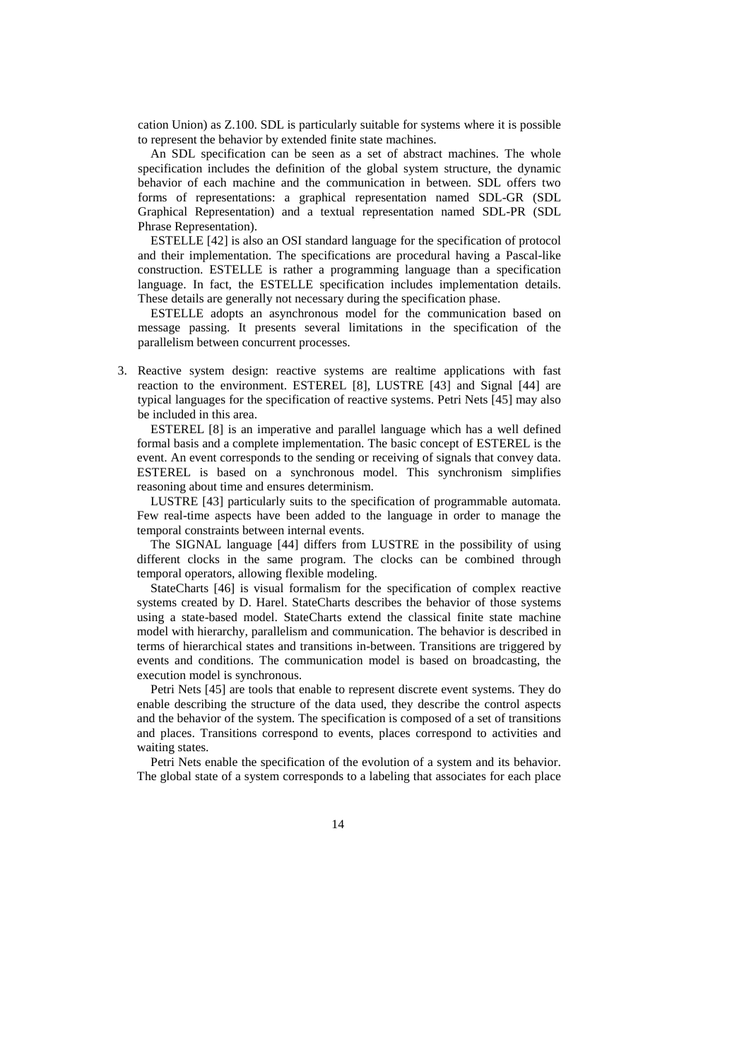cation Union) as Z.100. SDL is particularly suitable for systems where it is possible to represent the behavior by extended finite state machines.

An SDL specification can be seen as a set of abstract machines. The whole specification includes the definition of the global system structure, the dynamic behavior of each machine and the communication in between. SDL offers two forms of representations: a graphical representation named SDL-GR (SDL Graphical Representation) and a textual representation named SDL-PR (SDL Phrase Representation).

ESTELLE [42] is also an OSI standard language for the specification of protocol and their implementation. The specifications are procedural having a Pascal-like construction. ESTELLE is rather a programming language than a specification language. In fact, the ESTELLE specification includes implementation details. These details are generally not necessary during the specification phase.

ESTELLE adopts an asynchronous model for the communication based on message passing. It presents several limitations in the specification of the parallelism between concurrent processes.

3. Reactive system design: reactive systems are realtime applications with fast reaction to the environment. ESTEREL [8], LUSTRE [43] and Signal [44] are typical languages for the specification of reactive systems. Petri Nets [45] may also be included in this area.

ESTEREL [8] is an imperative and parallel language which has a well defined formal basis and a complete implementation. The basic concept of ESTEREL is the event. An event corresponds to the sending or receiving of signals that convey data. ESTEREL is based on a synchronous model. This synchronism simplifies reasoning about time and ensures determinism.

LUSTRE [43] particularly suits to the specification of programmable automata. Few real-time aspects have been added to the language in order to manage the temporal constraints between internal events.

The SIGNAL language [44] differs from LUSTRE in the possibility of using different clocks in the same program. The clocks can be combined through temporal operators, allowing flexible modeling.

StateCharts [46] is visual formalism for the specification of complex reactive systems created by D. Harel. StateCharts describes the behavior of those systems using a state-based model. StateCharts extend the classical finite state machine model with hierarchy, parallelism and communication. The behavior is described in terms of hierarchical states and transitions in-between. Transitions are triggered by events and conditions. The communication model is based on broadcasting, the execution model is synchronous.

Petri Nets [45] are tools that enable to represent discrete event systems. They do enable describing the structure of the data used, they describe the control aspects and the behavior of the system. The specification is composed of a set of transitions and places. Transitions correspond to events, places correspond to activities and waiting states.

Petri Nets enable the specification of the evolution of a system and its behavior. The global state of a system corresponds to a labeling that associates for each place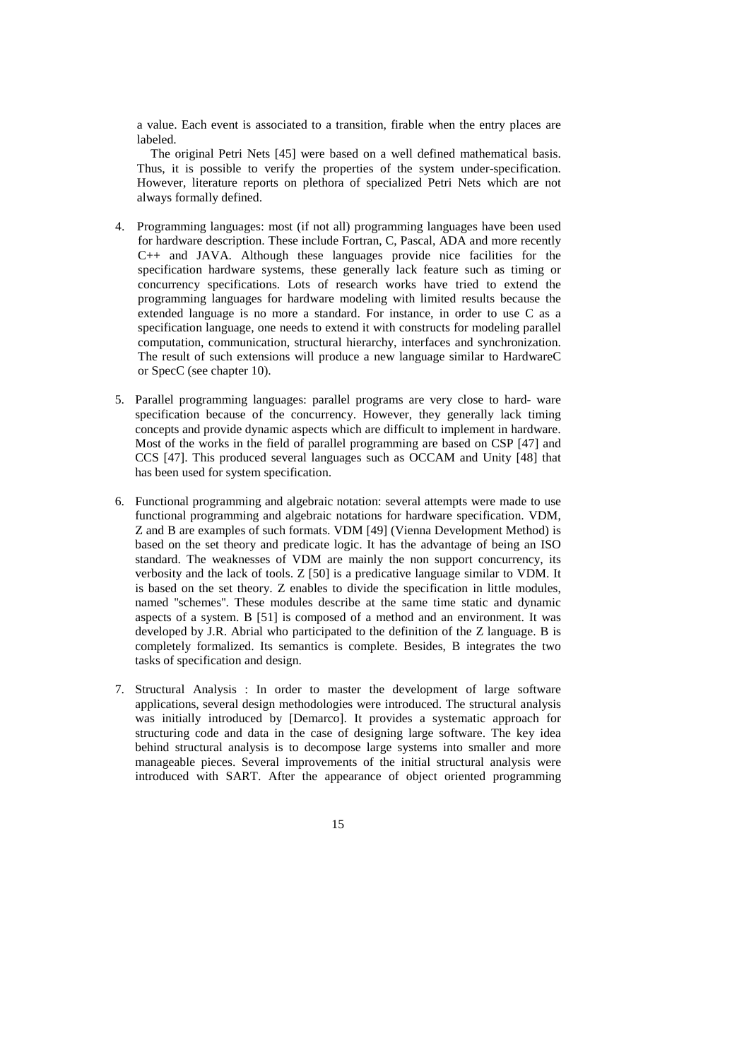a value. Each event is associated to a transition, firable when the entry places are labeled.

The original Petri Nets [45] were based on a well defined mathematical basis. Thus, it is possible to verify the properties of the system under-specification. However, literature reports on plethora of specialized Petri Nets which are not always formally defined.

- 4. Programming languages: most (if not all) programming languages have been used for hardware description. These include Fortran, C, Pascal, ADA and more recently C++ and JAVA. Although these languages provide nice facilities for the specification hardware systems, these generally lack feature such as timing or concurrency specifications. Lots of research works have tried to extend the programming languages for hardware modeling with limited results because the extended language is no more a standard. For instance, in order to use C as a specification language, one needs to extend it with constructs for modeling parallel computation, communication, structural hierarchy, interfaces and synchronization. The result of such extensions will produce a new language similar to HardwareC or SpecC (see chapter 10).
- 5. Parallel programming languages: parallel programs are very close to hard- ware specification because of the concurrency. However, they generally lack timing concepts and provide dynamic aspects which are difficult to implement in hardware. Most of the works in the field of parallel programming are based on CSP [47] and CCS [47]. This produced several languages such as OCCAM and Unity [48] that has been used for system specification.
- 6. Functional programming and algebraic notation: several attempts were made to use functional programming and algebraic notations for hardware specification. VDM, Z and B are examples of such formats. VDM [49] (Vienna Development Method) is based on the set theory and predicate logic. It has the advantage of being an ISO standard. The weaknesses of VDM are mainly the non support concurrency, its verbosity and the lack of tools. Z [50] is a predicative language similar to VDM. It is based on the set theory. Z enables to divide the specification in little modules, named ''schemes''. These modules describe at the same time static and dynamic aspects of a system. B [51] is composed of a method and an environment. It was developed by J.R. Abrial who participated to the definition of the Z language. B is completely formalized. Its semantics is complete. Besides, B integrates the two tasks of specification and design.
- 7. Structural Analysis : In order to master the development of large software applications, several design methodologies were introduced. The structural analysis was initially introduced by [Demarco]. It provides a systematic approach for structuring code and data in the case of designing large software. The key idea behind structural analysis is to decompose large systems into smaller and more manageable pieces. Several improvements of the initial structural analysis were introduced with SART. After the appearance of object oriented programming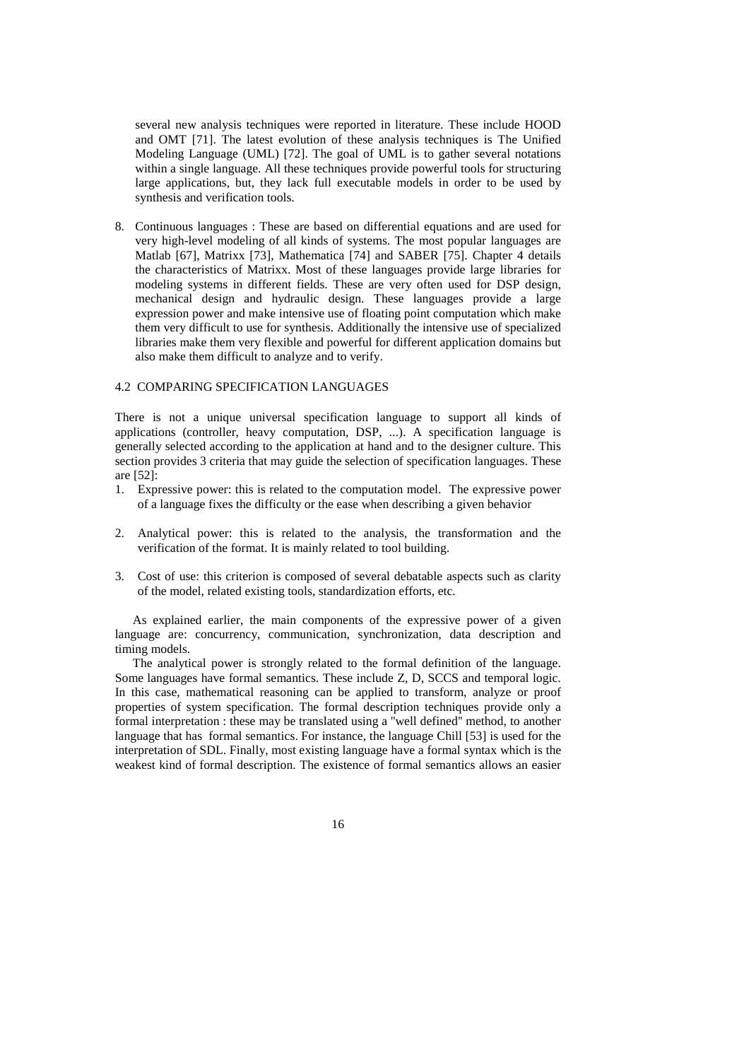several new analysis techniques were reported in literature. These include HOOD and OMT [71]. The latest evolution of these analysis techniques is The Unified Modeling Language (UML) [72]. The goal of UML is to gather several notations within a single language. All these techniques provide powerful tools for structuring large applications, but, they lack full executable models in order to be used by synthesis and verification tools.

8. Continuous languages : These are based on differential equations and are used for very high-level modeling of all kinds of systems. The most popular languages are Matlab [67], Matrixx [73], Mathematica [74] and SABER [75]. Chapter 4 details the characteristics of Matrixx. Most of these languages provide large libraries for modeling systems in different fields. These are very often used for DSP design, mechanical design and hydraulic design. These languages provide a large expression power and make intensive use of floating point computation which make them very difficult to use for synthesis. Additionally the intensive use of specialized libraries make them very flexible and powerful for different application domains but also make them difficult to analyze and to verify.

## 4.2 COMPARING SPECIFICATION LANGUAGES

There is not a unique universal specification language to support all kinds of applications (controller, heavy computation, DSP, ...). A specification language is generally selected according to the application at hand and to the designer culture. This section provides 3 criteria that may guide the selection of specification languages. These are [52]:

- 1. Expressive power: this is related to the computation model. The expressive power of a language fixes the difficulty or the ease when describing a given behavior
- 2. Analytical power: this is related to the analysis, the transformation and the verification of the format. It is mainly related to tool building.
- 3. Cost of use: this criterion is composed of several debatable aspects such as clarity of the model, related existing tools, standardization efforts, etc.

As explained earlier, the main components of the expressive power of a given language are: concurrency, communication, synchronization, data description and timing models.

The analytical power is strongly related to the formal definition of the language. Some languages have formal semantics. These include Z, D, SCCS and temporal logic. In this case, mathematical reasoning can be applied to transform, analyze or proof properties of system specification. The formal description techniques provide only a formal interpretation : these may be translated using a ''well defined'' method, to another language that has formal semantics. For instance, the language Chill [53] is used for the interpretation of SDL. Finally, most existing language have a formal syntax which is the weakest kind of formal description. The existence of formal semantics allows an easier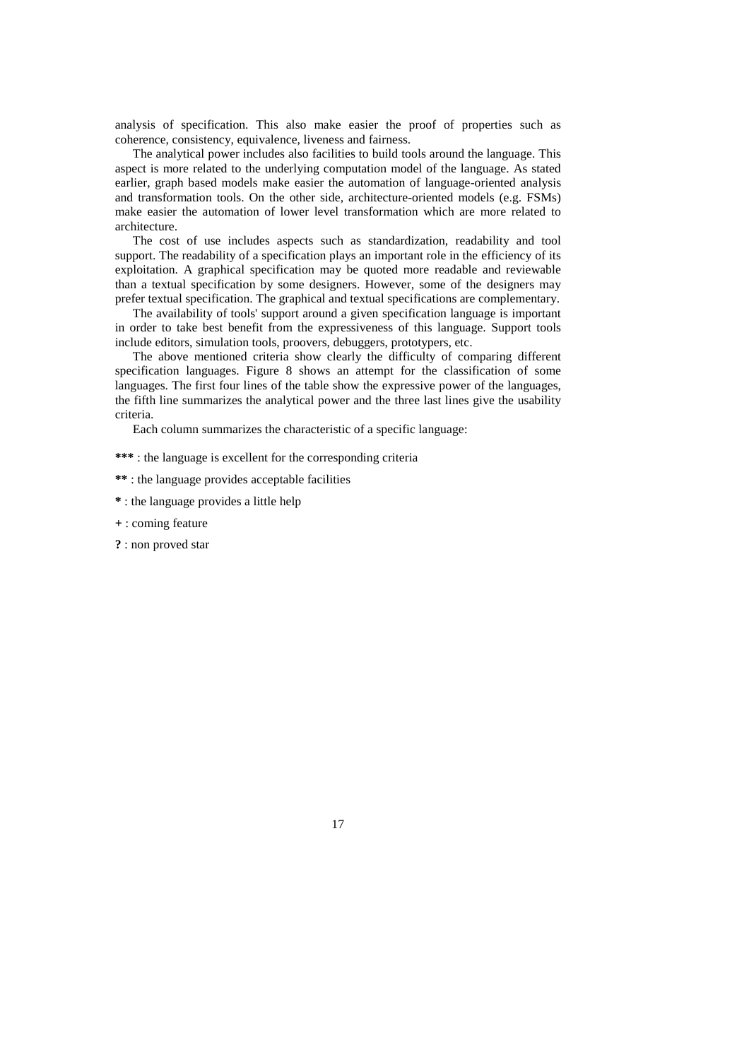analysis of specification. This also make easier the proof of properties such as coherence, consistency, equivalence, liveness and fairness.

The analytical power includes also facilities to build tools around the language. This aspect is more related to the underlying computation model of the language. As stated earlier, graph based models make easier the automation of language-oriented analysis and transformation tools. On the other side, architecture-oriented models (e.g. FSMs) make easier the automation of lower level transformation which are more related to architecture.

The cost of use includes aspects such as standardization, readability and tool support. The readability of a specification plays an important role in the efficiency of its exploitation. A graphical specification may be quoted more readable and reviewable than a textual specification by some designers. However, some of the designers may prefer textual specification. The graphical and textual specifications are complementary.

The availability of tools' support around a given specification language is important in order to take best benefit from the expressiveness of this language. Support tools include editors, simulation tools, proovers, debuggers, prototypers, etc.

The above mentioned criteria show clearly the difficulty of comparing different specification languages. Figure 8 shows an attempt for the classification of some languages. The first four lines of the table show the expressive power of the languages, the fifth line summarizes the analytical power and the three last lines give the usability criteria.

Each column summarizes the characteristic of a specific language:

- **\*\*\*** : the language is excellent for the corresponding criteria
- **\*\*** : the language provides acceptable facilities
- **\*** : the language provides a little help
- **+** : coming feature
- **?** : non proved star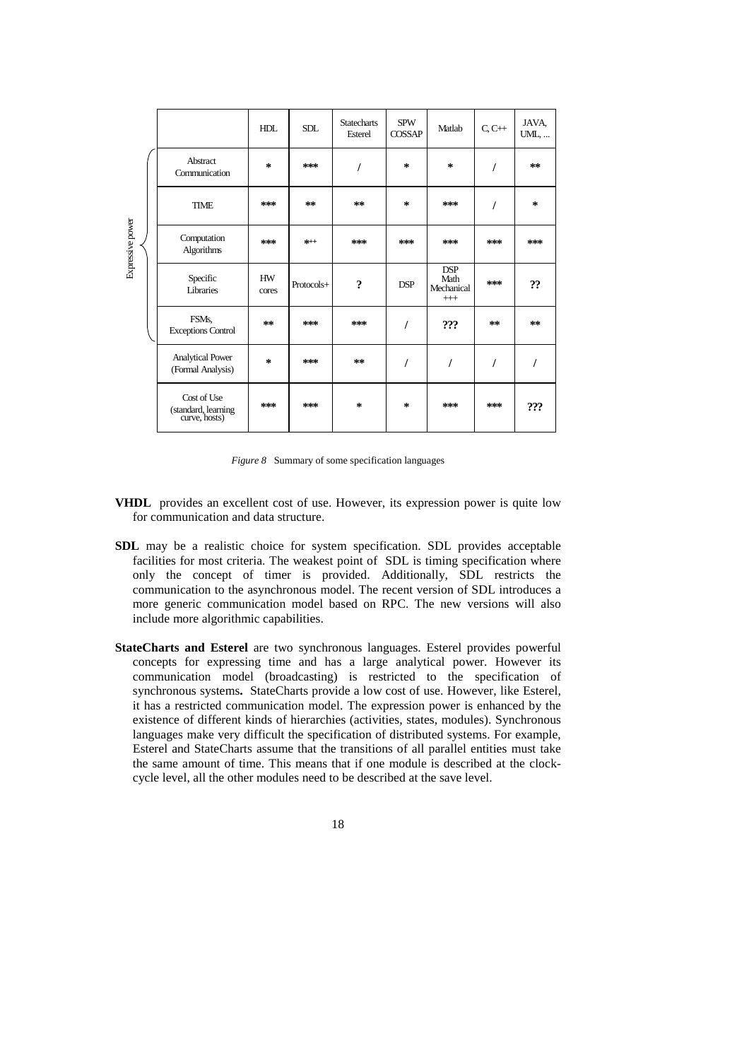|                  |                                                     | HDL                | <b>SDL</b> | <b>Statecharts</b><br>Esterel | <b>SPW</b><br><b>COSSAP</b> | Matlab                                   | $C, C++$ | <b>JAVA</b> .<br>$\text{UML}, \dots$ |
|------------------|-----------------------------------------------------|--------------------|------------|-------------------------------|-----------------------------|------------------------------------------|----------|--------------------------------------|
| Expressive power | <b>Abstract</b><br>Communication                    | $\star$            | ***        | $\prime$                      | $\star$                     | $\star$                                  |          | $***$                                |
|                  | <b>TIME</b>                                         | ***                | $***$      | $\star\star$                  | $\star$                     | $***$                                    |          | $\star$                              |
|                  | Computation<br>Algorithms                           | ***                | $*++$      | ***                           | ***                         | $***$                                    | ***      | ***                                  |
|                  | Specific<br>Libraries                               | <b>HW</b><br>cores | Protocols+ | $\boldsymbol{?}$              | <b>DSP</b>                  | <b>DSP</b><br>Math<br>Mechanical<br>$++$ | ***      | ??                                   |
|                  | FSMs,<br><b>Exceptions Control</b>                  | $***$              | ***        | ***                           |                             | ???                                      | $***$    | $***$                                |
|                  | <b>Analytical Power</b><br>(Formal Analysis)        | $\star$            | ***        | $\star\star$                  |                             | $\prime$                                 |          |                                      |
|                  | Cost of Use<br>(standard, learning<br>curve, hosts) | ***                | ***        | $\ast$                        | $\star$                     | $***$                                    | ***      | ???                                  |
|                  |                                                     |                    |            |                               |                             |                                          |          |                                      |

*Figure 8* Summary of some specification languages

- **VHDL** provides an excellent cost of use. However, its expression power is quite low for communication and data structure.
- **SDL** may be a realistic choice for system specification. SDL provides acceptable facilities for most criteria. The weakest point of SDL is timing specification where only the concept of timer is provided. Additionally, SDL restricts the communication to the asynchronous model. The recent version of SDL introduces a more generic communication model based on RPC. The new versions will also include more algorithmic capabilities.
- **StateCharts and Esterel** are two synchronous languages. Esterel provides powerful concepts for expressing time and has a large analytical power. However its communication model (broadcasting) is restricted to the specification of synchronous systems**.** StateCharts provide a low cost of use. However, like Esterel, it has a restricted communication model. The expression power is enhanced by the existence of different kinds of hierarchies (activities, states, modules). Synchronous languages make very difficult the specification of distributed systems. For example, Esterel and StateCharts assume that the transitions of all parallel entities must take the same amount of time. This means that if one module is described at the clockcycle level, all the other modules need to be described at the save level.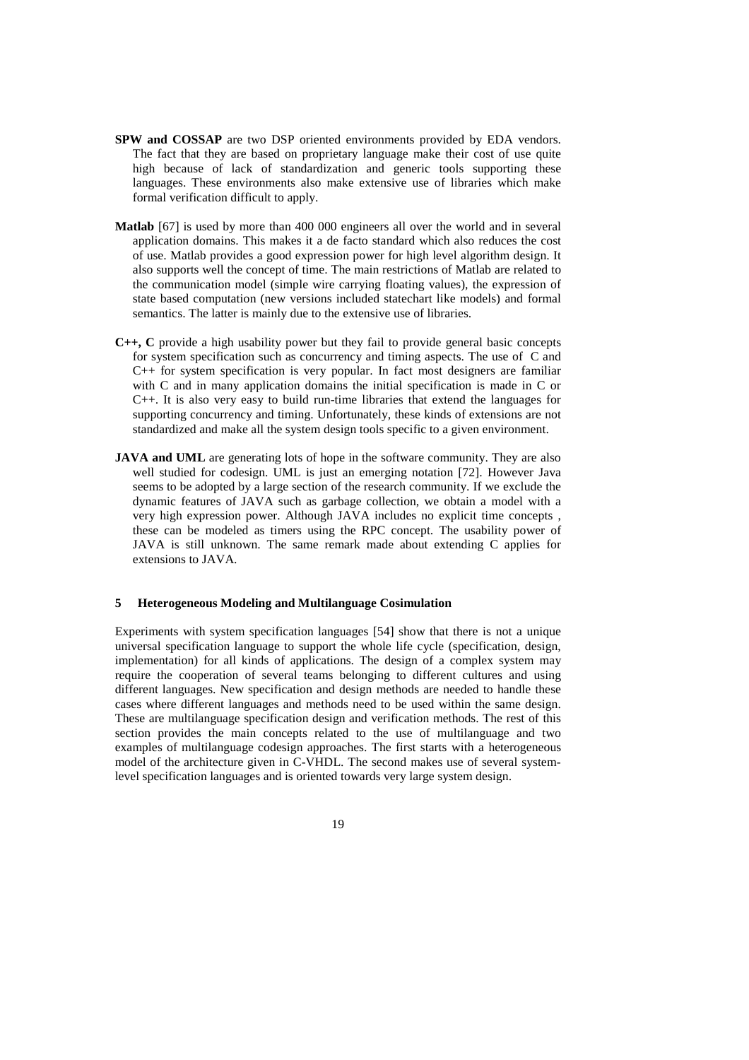- **SPW and COSSAP** are two DSP oriented environments provided by EDA vendors. The fact that they are based on proprietary language make their cost of use quite high because of lack of standardization and generic tools supporting these languages. These environments also make extensive use of libraries which make formal verification difficult to apply.
- **Matlab** [67] is used by more than 400 000 engineers all over the world and in several application domains. This makes it a de facto standard which also reduces the cost of use. Matlab provides a good expression power for high level algorithm design. It also supports well the concept of time. The main restrictions of Matlab are related to the communication model (simple wire carrying floating values), the expression of state based computation (new versions included statechart like models) and formal semantics. The latter is mainly due to the extensive use of libraries.
- **C++, C** provide a high usability power but they fail to provide general basic concepts for system specification such as concurrency and timing aspects. The use of C and C++ for system specification is very popular. In fact most designers are familiar with C and in many application domains the initial specification is made in C or C++. It is also very easy to build run-time libraries that extend the languages for supporting concurrency and timing. Unfortunately, these kinds of extensions are not standardized and make all the system design tools specific to a given environment.
- **JAVA** and UML are generating lots of hope in the software community. They are also well studied for codesign. UML is just an emerging notation [72]. However Java seems to be adopted by a large section of the research community. If we exclude the dynamic features of JAVA such as garbage collection, we obtain a model with a very high expression power. Although JAVA includes no explicit time concepts , these can be modeled as timers using the RPC concept. The usability power of JAVA is still unknown. The same remark made about extending C applies for extensions to JAVA.

# **5 Heterogeneous Modeling and Multilanguage Cosimulation**

Experiments with system specification languages [54] show that there is not a unique universal specification language to support the whole life cycle (specification, design, implementation) for all kinds of applications. The design of a complex system may require the cooperation of several teams belonging to different cultures and using different languages. New specification and design methods are needed to handle these cases where different languages and methods need to be used within the same design. These are multilanguage specification design and verification methods. The rest of this section provides the main concepts related to the use of multilanguage and two examples of multilanguage codesign approaches. The first starts with a heterogeneous model of the architecture given in C-VHDL. The second makes use of several systemlevel specification languages and is oriented towards very large system design.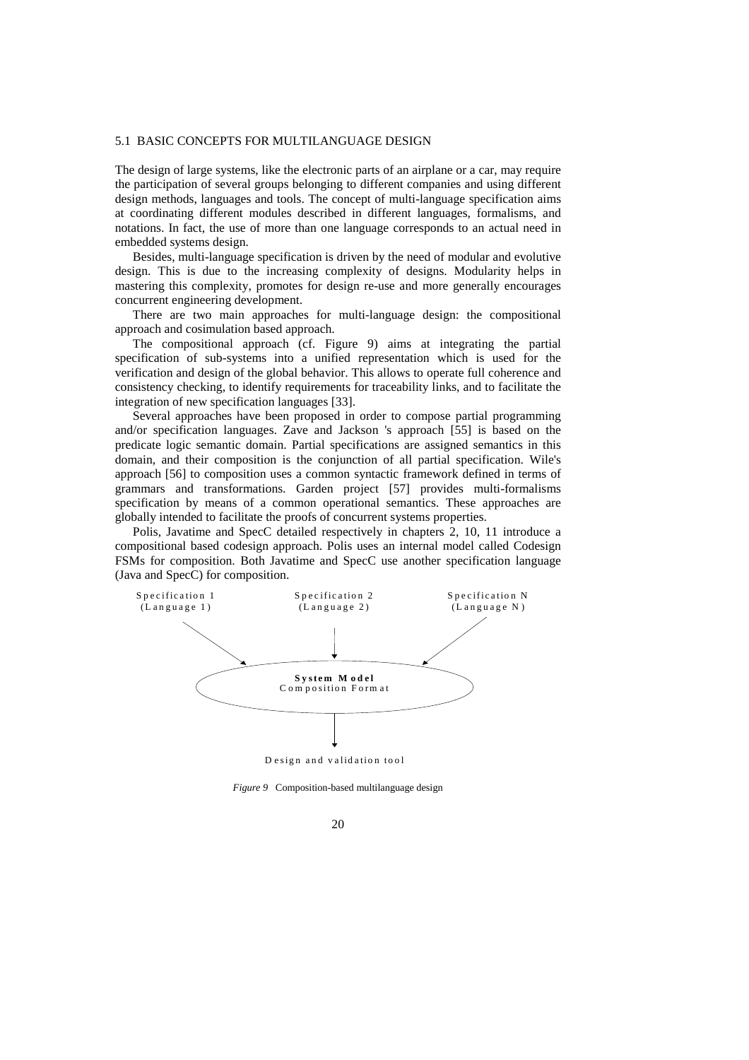#### 5.1 BASIC CONCEPTS FOR MULTILANGUAGE DESIGN

The design of large systems, like the electronic parts of an airplane or a car, may require the participation of several groups belonging to different companies and using different design methods, languages and tools. The concept of multi-language specification aims at coordinating different modules described in different languages, formalisms, and notations. In fact, the use of more than one language corresponds to an actual need in embedded systems design.

Besides, multi-language specification is driven by the need of modular and evolutive design. This is due to the increasing complexity of designs. Modularity helps in mastering this complexity, promotes for design re-use and more generally encourages concurrent engineering development.

There are two main approaches for multi-language design: the compositional approach and cosimulation based approach.

The compositional approach (cf. Figure 9) aims at integrating the partial specification of sub-systems into a unified representation which is used for the verification and design of the global behavior. This allows to operate full coherence and consistency checking, to identify requirements for traceability links, and to facilitate the integration of new specification languages [33].

Several approaches have been proposed in order to compose partial programming and/or specification languages. Zave and Jackson 's approach [55] is based on the predicate logic semantic domain. Partial specifications are assigned semantics in this domain, and their composition is the conjunction of all partial specification. Wile's approach [56] to composition uses a common syntactic framework defined in terms of grammars and transformations. Garden project [57] provides multi-formalisms specification by means of a common operational semantics. These approaches are globally intended to facilitate the proofs of concurrent systems properties.

Polis, Javatime and SpecC detailed respectively in chapters 2, 10, 11 introduce a compositional based codesign approach. Polis uses an internal model called Codesign FSMs for composition. Both Javatime and SpecC use another specification language (Java and SpecC) for composition.



D esign and validation tool

*Figure 9* Composition-based multilanguage design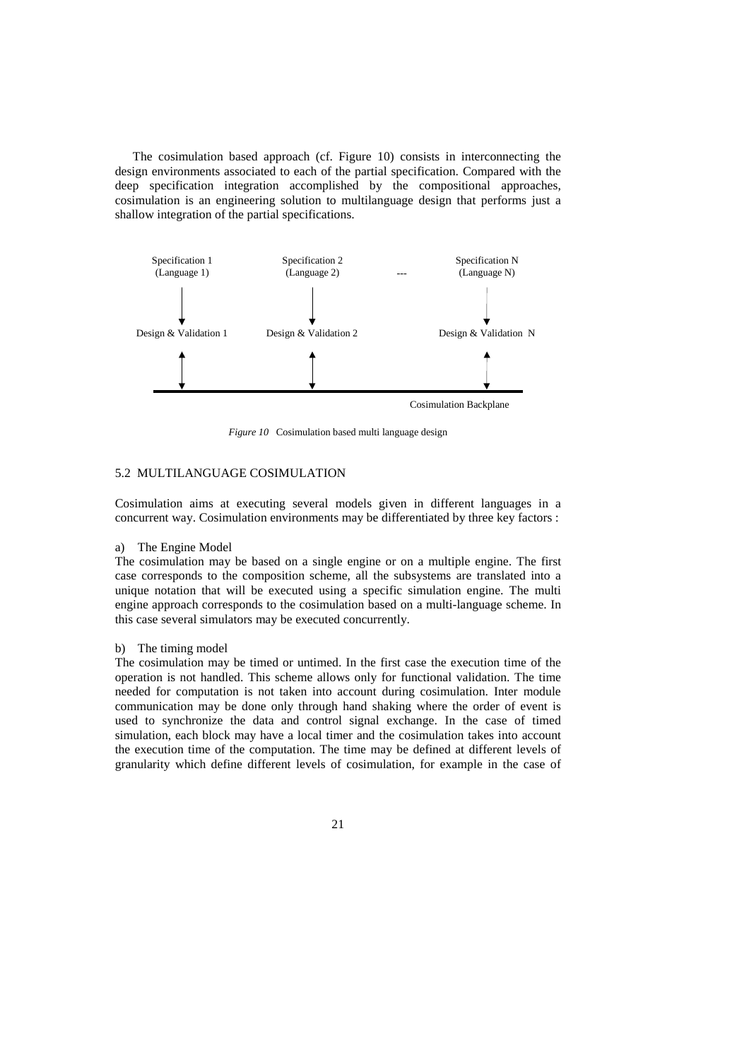The cosimulation based approach (cf. Figure 10) consists in interconnecting the design environments associated to each of the partial specification. Compared with the deep specification integration accomplished by the compositional approaches, cosimulation is an engineering solution to multilanguage design that performs just a shallow integration of the partial specifications.



*Figure 10* Cosimulation based multi language design

# 5.2 MULTILANGUAGE COSIMULATION

Cosimulation aims at executing several models given in different languages in a concurrent way. Cosimulation environments may be differentiated by three key factors :

#### a) The Engine Model

The cosimulation may be based on a single engine or on a multiple engine. The first case corresponds to the composition scheme, all the subsystems are translated into a unique notation that will be executed using a specific simulation engine. The multi engine approach corresponds to the cosimulation based on a multi-language scheme. In this case several simulators may be executed concurrently.

#### b) The timing model

The cosimulation may be timed or untimed. In the first case the execution time of the operation is not handled. This scheme allows only for functional validation. The time needed for computation is not taken into account during cosimulation. Inter module communication may be done only through hand shaking where the order of event is used to synchronize the data and control signal exchange. In the case of timed simulation, each block may have a local timer and the cosimulation takes into account the execution time of the computation. The time may be defined at different levels of granularity which define different levels of cosimulation, for example in the case of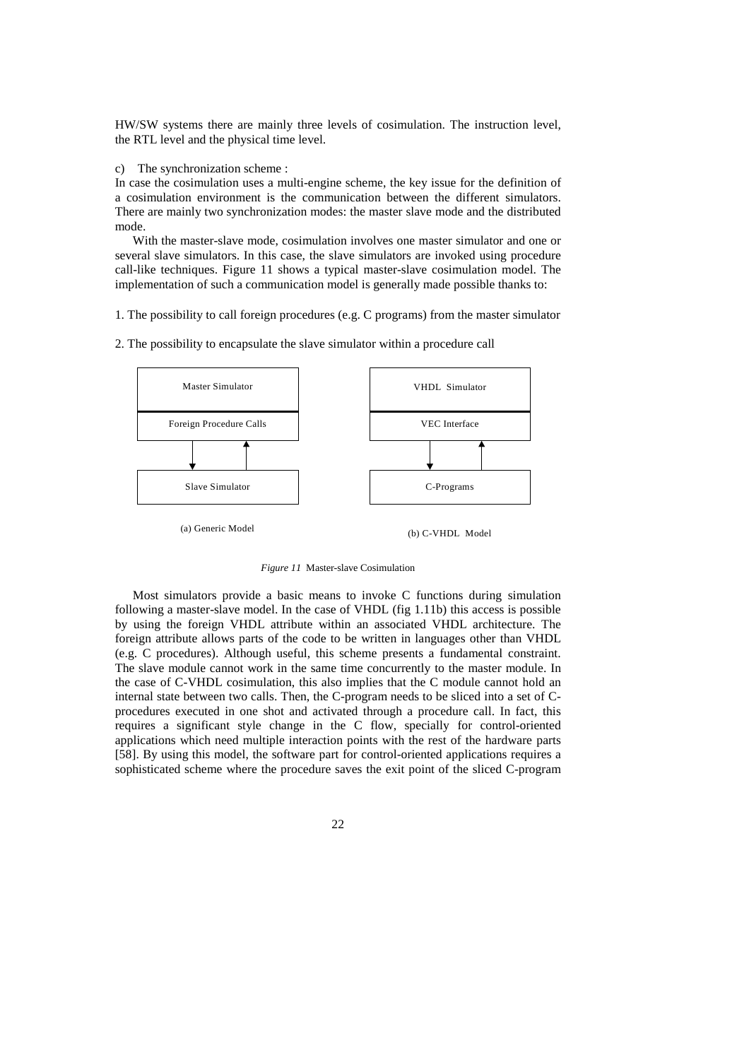HW/SW systems there are mainly three levels of cosimulation. The instruction level, the RTL level and the physical time level.

c) The synchronization scheme :

In case the cosimulation uses a multi-engine scheme, the key issue for the definition of a cosimulation environment is the communication between the different simulators. There are mainly two synchronization modes: the master slave mode and the distributed mode.

With the master-slave mode, cosimulation involves one master simulator and one or several slave simulators. In this case, the slave simulators are invoked using procedure call-like techniques. Figure 11 shows a typical master-slave cosimulation model. The implementation of such a communication model is generally made possible thanks to:

1. The possibility to call foreign procedures (e.g. C programs) from the master simulator

2. The possibility to encapsulate the slave simulator within a procedure call



*Figure 11* Master-slave Cosimulation

Most simulators provide a basic means to invoke C functions during simulation following a master-slave model. In the case of VHDL (fig 1.11b) this access is possible by using the foreign VHDL attribute within an associated VHDL architecture. The foreign attribute allows parts of the code to be written in languages other than VHDL (e.g. C procedures). Although useful, this scheme presents a fundamental constraint. The slave module cannot work in the same time concurrently to the master module. In the case of C-VHDL cosimulation, this also implies that the C module cannot hold an internal state between two calls. Then, the C-program needs to be sliced into a set of Cprocedures executed in one shot and activated through a procedure call. In fact, this requires a significant style change in the C flow, specially for control-oriented applications which need multiple interaction points with the rest of the hardware parts [58]. By using this model, the software part for control-oriented applications requires a sophisticated scheme where the procedure saves the exit point of the sliced C-program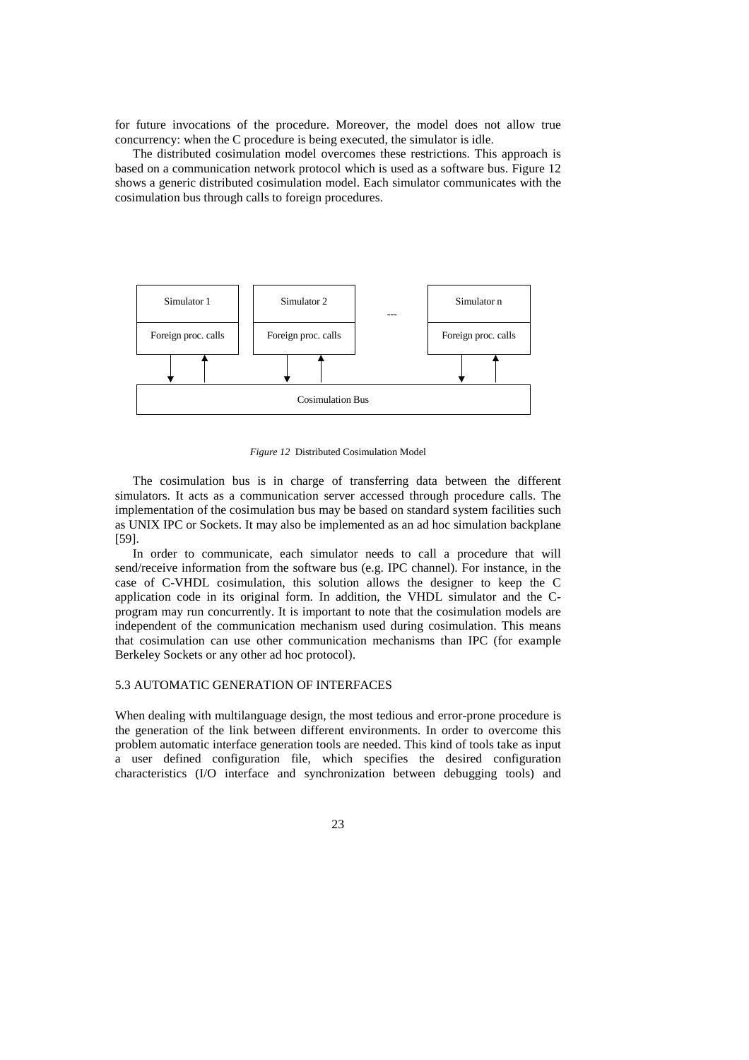for future invocations of the procedure. Moreover, the model does not allow true concurrency: when the C procedure is being executed, the simulator is idle.

The distributed cosimulation model overcomes these restrictions. This approach is based on a communication network protocol which is used as a software bus. Figure 12 shows a generic distributed cosimulation model. Each simulator communicates with the cosimulation bus through calls to foreign procedures.



*Figure 12* Distributed Cosimulation Model

The cosimulation bus is in charge of transferring data between the different simulators. It acts as a communication server accessed through procedure calls. The implementation of the cosimulation bus may be based on standard system facilities such as UNIX IPC or Sockets. It may also be implemented as an ad hoc simulation backplane [59].

In order to communicate, each simulator needs to call a procedure that will send/receive information from the software bus (e.g. IPC channel). For instance, in the case of C-VHDL cosimulation, this solution allows the designer to keep the C application code in its original form. In addition, the VHDL simulator and the Cprogram may run concurrently. It is important to note that the cosimulation models are independent of the communication mechanism used during cosimulation. This means that cosimulation can use other communication mechanisms than IPC (for example Berkeley Sockets or any other ad hoc protocol).

#### 5.3 AUTOMATIC GENERATION OF INTERFACES

When dealing with multilanguage design, the most tedious and error-prone procedure is the generation of the link between different environments. In order to overcome this problem automatic interface generation tools are needed. This kind of tools take as input a user defined configuration file, which specifies the desired configuration characteristics (I/O interface and synchronization between debugging tools) and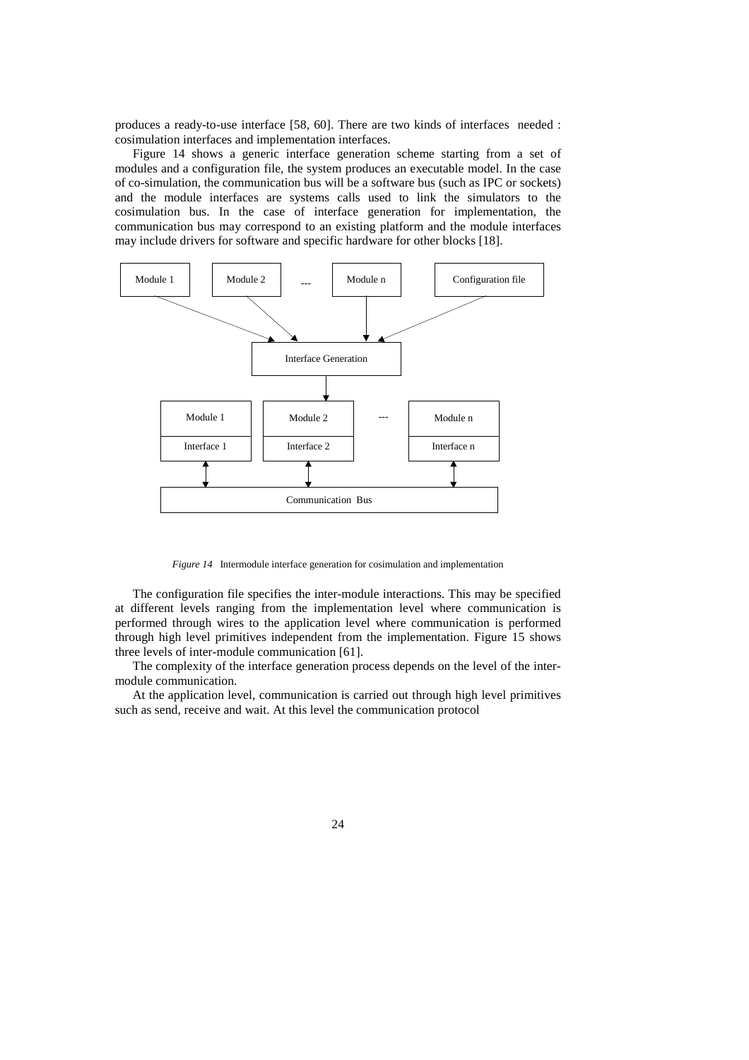produces a ready-to-use interface [58, 60]. There are two kinds of interfaces needed : cosimulation interfaces and implementation interfaces.

Figure 14 shows a generic interface generation scheme starting from a set of modules and a configuration file, the system produces an executable model. In the case of co-simulation, the communication bus will be a software bus (such as IPC or sockets) and the module interfaces are systems calls used to link the simulators to the cosimulation bus. In the case of interface generation for implementation, the communication bus may correspond to an existing platform and the module interfaces may include drivers for software and specific hardware for other blocks [18].



*Figure 14* Intermodule interface generation for cosimulation and implementation

The configuration file specifies the inter-module interactions. This may be specified at different levels ranging from the implementation level where communication is performed through wires to the application level where communication is performed through high level primitives independent from the implementation. Figure 15 shows three levels of inter-module communication [61].

The complexity of the interface generation process depends on the level of the intermodule communication.

At the application level, communication is carried out through high level primitives such as send, receive and wait. At this level the communication protocol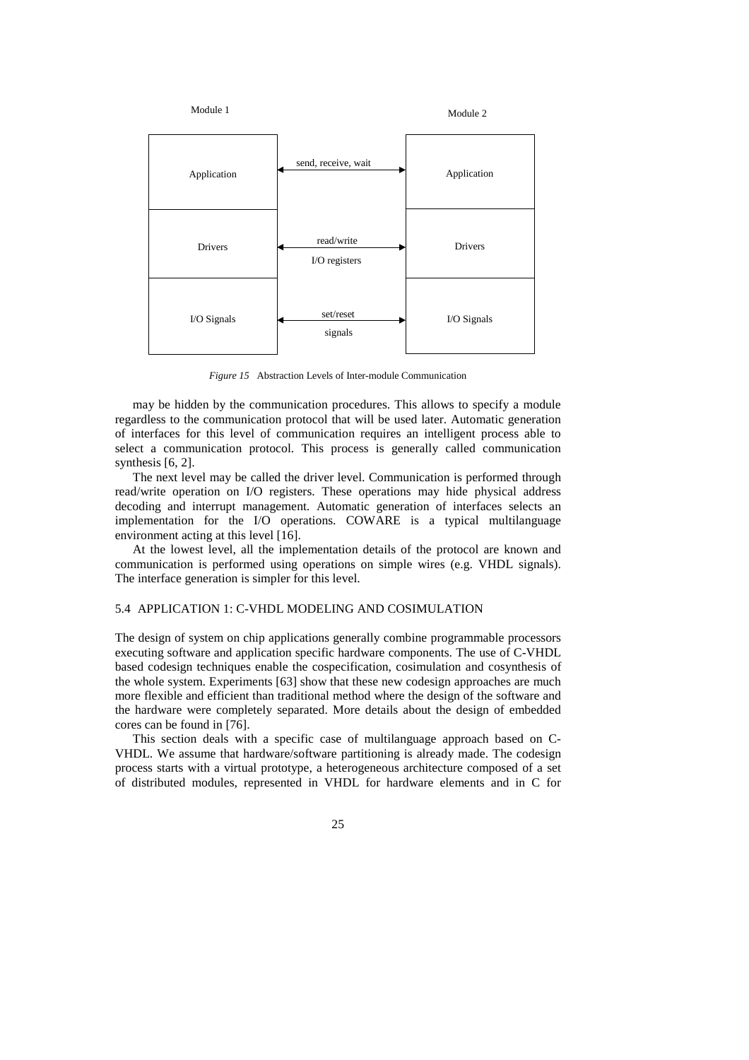

*Figure 15* Abstraction Levels of Inter-module Communication

may be hidden by the communication procedures. This allows to specify a module regardless to the communication protocol that will be used later. Automatic generation of interfaces for this level of communication requires an intelligent process able to select a communication protocol. This process is generally called communication synthesis [6, 2].

The next level may be called the driver level. Communication is performed through read/write operation on I/O registers. These operations may hide physical address decoding and interrupt management. Automatic generation of interfaces selects an implementation for the I/O operations. COWARE is a typical multilanguage environment acting at this level [16].

At the lowest level, all the implementation details of the protocol are known and communication is performed using operations on simple wires (e.g. VHDL signals). The interface generation is simpler for this level.

#### 5.4 APPLICATION 1: C-VHDL MODELING AND COSIMULATION

The design of system on chip applications generally combine programmable processors executing software and application specific hardware components. The use of C-VHDL based codesign techniques enable the cospecification, cosimulation and cosynthesis of the whole system. Experiments [63] show that these new codesign approaches are much more flexible and efficient than traditional method where the design of the software and the hardware were completely separated. More details about the design of embedded cores can be found in [76].

This section deals with a specific case of multilanguage approach based on C-VHDL. We assume that hardware/software partitioning is already made. The codesign process starts with a virtual prototype, a heterogeneous architecture composed of a set of distributed modules, represented in VHDL for hardware elements and in C for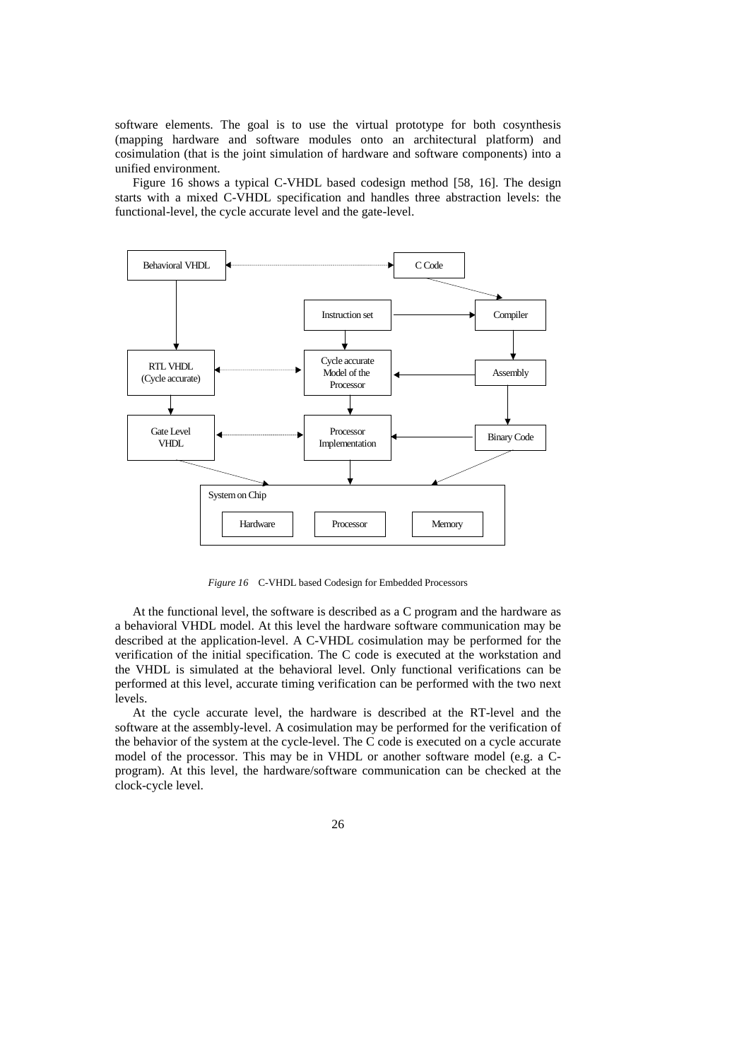software elements. The goal is to use the virtual prototype for both cosynthesis (mapping hardware and software modules onto an architectural platform) and cosimulation (that is the joint simulation of hardware and software components) into a unified environment.

Figure 16 shows a typical C-VHDL based codesign method [58, 16]. The design starts with a mixed C-VHDL specification and handles three abstraction levels: the functional-level, the cycle accurate level and the gate-level.



*Figure 16* C-VHDL based Codesign for Embedded Processors

At the functional level, the software is described as a C program and the hardware as a behavioral VHDL model. At this level the hardware software communication may be described at the application-level. A C-VHDL cosimulation may be performed for the verification of the initial specification. The C code is executed at the workstation and the VHDL is simulated at the behavioral level. Only functional verifications can be performed at this level, accurate timing verification can be performed with the two next levels.

At the cycle accurate level, the hardware is described at the RT-level and the software at the assembly-level. A cosimulation may be performed for the verification of the behavior of the system at the cycle-level. The C code is executed on a cycle accurate model of the processor. This may be in VHDL or another software model (e.g. a Cprogram). At this level, the hardware/software communication can be checked at the clock-cycle level.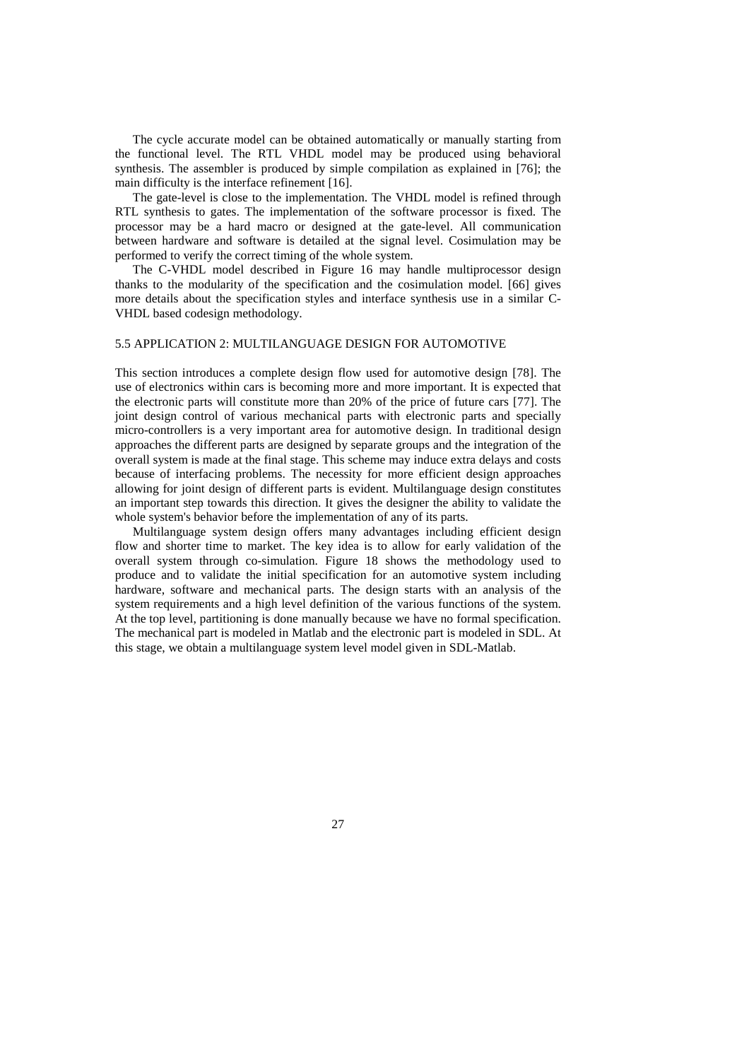The cycle accurate model can be obtained automatically or manually starting from the functional level. The RTL VHDL model may be produced using behavioral synthesis. The assembler is produced by simple compilation as explained in [76]; the main difficulty is the interface refinement [16].

The gate-level is close to the implementation. The VHDL model is refined through RTL synthesis to gates. The implementation of the software processor is fixed. The processor may be a hard macro or designed at the gate-level. All communication between hardware and software is detailed at the signal level. Cosimulation may be performed to verify the correct timing of the whole system.

The C-VHDL model described in Figure 16 may handle multiprocessor design thanks to the modularity of the specification and the cosimulation model. [66] gives more details about the specification styles and interface synthesis use in a similar C-VHDL based codesign methodology.

# 5.5 APPLICATION 2: MULTILANGUAGE DESIGN FOR AUTOMOTIVE

This section introduces a complete design flow used for automotive design [78]. The use of electronics within cars is becoming more and more important. It is expected that the electronic parts will constitute more than 20% of the price of future cars [77]. The joint design control of various mechanical parts with electronic parts and specially micro-controllers is a very important area for automotive design. In traditional design approaches the different parts are designed by separate groups and the integration of the overall system is made at the final stage. This scheme may induce extra delays and costs because of interfacing problems. The necessity for more efficient design approaches allowing for joint design of different parts is evident. Multilanguage design constitutes an important step towards this direction. It gives the designer the ability to validate the whole system's behavior before the implementation of any of its parts.

Multilanguage system design offers many advantages including efficient design flow and shorter time to market. The key idea is to allow for early validation of the overall system through co-simulation. Figure 18 shows the methodology used to produce and to validate the initial specification for an automotive system including hardware, software and mechanical parts. The design starts with an analysis of the system requirements and a high level definition of the various functions of the system. At the top level, partitioning is done manually because we have no formal specification. The mechanical part is modeled in Matlab and the electronic part is modeled in SDL. At this stage, we obtain a multilanguage system level model given in SDL-Matlab.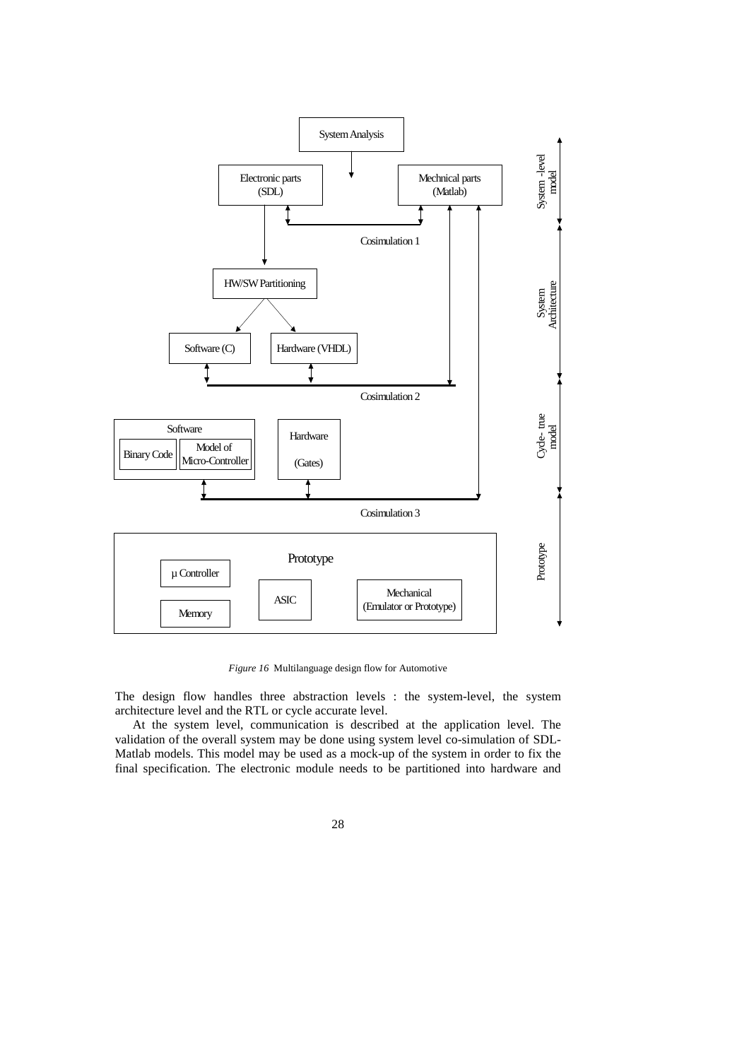

*Figure 16* Multilanguage design flow for Automotive

The design flow handles three abstraction levels : the system-level, the system architecture level and the RTL or cycle accurate level.

At the system level, communication is described at the application level. The validation of the overall system may be done using system level co-simulation of SDL-Matlab models. This model may be used as a mock-up of the system in order to fix the final specification. The electronic module needs to be partitioned into hardware and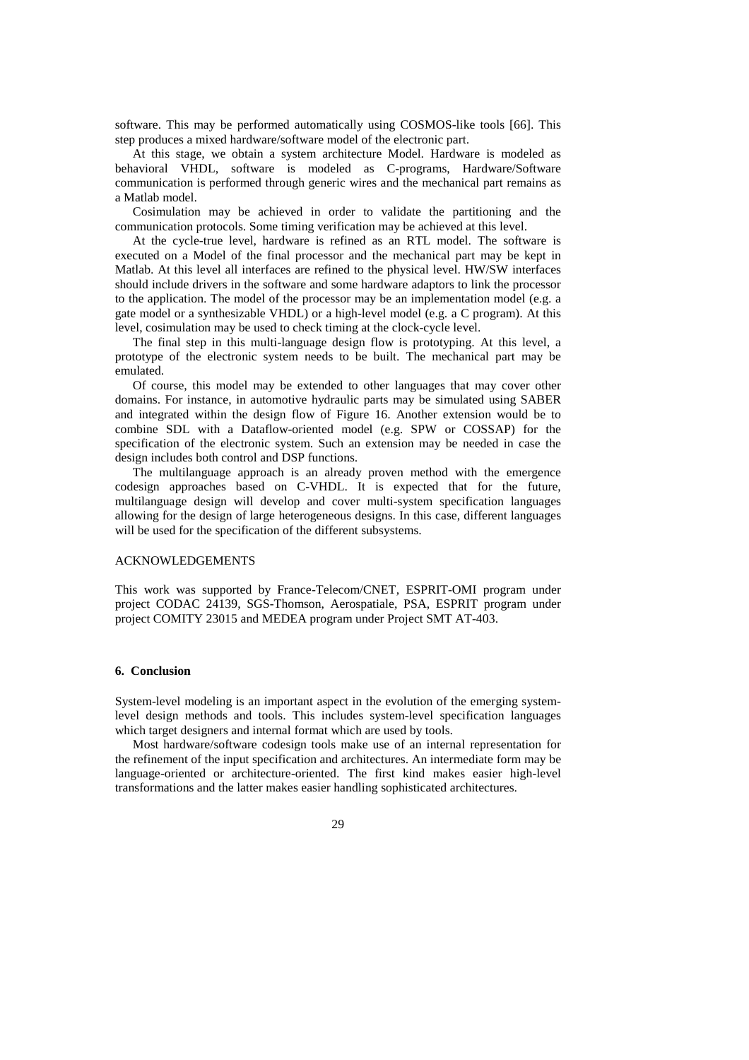software. This may be performed automatically using COSMOS-like tools [66]. This step produces a mixed hardware/software model of the electronic part.

At this stage, we obtain a system architecture Model. Hardware is modeled as behavioral VHDL, software is modeled as C-programs, Hardware/Software communication is performed through generic wires and the mechanical part remains as a Matlab model.

Cosimulation may be achieved in order to validate the partitioning and the communication protocols. Some timing verification may be achieved at this level.

At the cycle-true level, hardware is refined as an RTL model. The software is executed on a Model of the final processor and the mechanical part may be kept in Matlab. At this level all interfaces are refined to the physical level. HW/SW interfaces should include drivers in the software and some hardware adaptors to link the processor to the application. The model of the processor may be an implementation model (e.g. a gate model or a synthesizable VHDL) or a high-level model (e.g. a C program). At this level, cosimulation may be used to check timing at the clock-cycle level.

The final step in this multi-language design flow is prototyping. At this level, a prototype of the electronic system needs to be built. The mechanical part may be emulated.

Of course, this model may be extended to other languages that may cover other domains. For instance, in automotive hydraulic parts may be simulated using SABER and integrated within the design flow of Figure 16. Another extension would be to combine SDL with a Dataflow-oriented model (e.g. SPW or COSSAP) for the specification of the electronic system. Such an extension may be needed in case the design includes both control and DSP functions.

The multilanguage approach is an already proven method with the emergence codesign approaches based on C-VHDL. It is expected that for the future, multilanguage design will develop and cover multi-system specification languages allowing for the design of large heterogeneous designs. In this case, different languages will be used for the specification of the different subsystems.

## ACKNOWLEDGEMENTS

This work was supported by France-Telecom/CNET, ESPRIT-OMI program under project CODAC 24139, SGS-Thomson, Aerospatiale, PSA, ESPRIT program under project COMITY 23015 and MEDEA program under Project SMT AT-403.

#### **6. Conclusion**

System-level modeling is an important aspect in the evolution of the emerging systemlevel design methods and tools. This includes system-level specification languages which target designers and internal format which are used by tools.

Most hardware/software codesign tools make use of an internal representation for the refinement of the input specification and architectures. An intermediate form may be language-oriented or architecture-oriented. The first kind makes easier high-level transformations and the latter makes easier handling sophisticated architectures.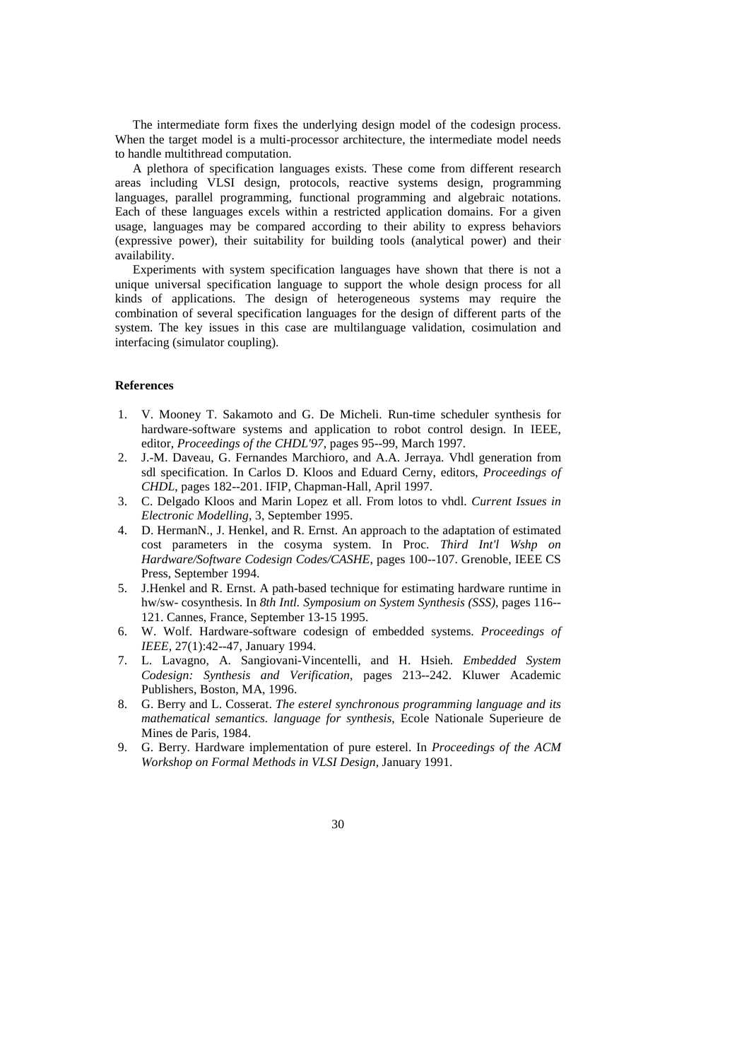The intermediate form fixes the underlying design model of the codesign process. When the target model is a multi-processor architecture, the intermediate model needs to handle multithread computation.

A plethora of specification languages exists. These come from different research areas including VLSI design, protocols, reactive systems design, programming languages, parallel programming, functional programming and algebraic notations. Each of these languages excels within a restricted application domains. For a given usage, languages may be compared according to their ability to express behaviors (expressive power), their suitability for building tools (analytical power) and their availability.

Experiments with system specification languages have shown that there is not a unique universal specification language to support the whole design process for all kinds of applications. The design of heterogeneous systems may require the combination of several specification languages for the design of different parts of the system. The key issues in this case are multilanguage validation, cosimulation and interfacing (simulator coupling).

# **References**

- 1. V. Mooney T. Sakamoto and G. De Micheli. Run-time scheduler synthesis for hardware-software systems and application to robot control design. In IEEE, editor, *Proceedings of the CHDL'97*, pages 95--99, March 1997.
- 2. J.-M. Daveau, G. Fernandes Marchioro, and A.A. Jerraya. Vhdl generation from sdl specification. In Carlos D. Kloos and Eduard Cerny, editors, *Proceedings of CHDL*, pages 182--201. IFIP, Chapman-Hall, April 1997.
- 3. C. Delgado Kloos and Marin Lopez et all. From lotos to vhdl. *Current Issues in Electronic Modelling*, 3, September 1995.
- 4. D. HermanN., J. Henkel, and R. Ernst. An approach to the adaptation of estimated cost parameters in the cosyma system. In Proc. *Third Int'l Wshp on Hardware/Software Codesign Codes/CASHE*, pages 100--107. Grenoble, IEEE CS Press, September 1994.
- 5. J.Henkel and R. Ernst. A path-based technique for estimating hardware runtime in hw/sw- cosynthesis. In *8th Intl. Symposium on System Synthesis (SSS)*, pages 116-- 121. Cannes, France, September 13-15 1995.
- 6. W. Wolf. Hardware-software codesign of embedded systems. *Proceedings of IEEE*, 27(1):42--47, January 1994.
- 7. L. Lavagno, A. Sangiovani-Vincentelli, and H. Hsieh. *Embedded System Codesign: Synthesis and Verification*, pages 213--242. Kluwer Academic Publishers, Boston, MA, 1996.
- 8. G. Berry and L. Cosserat. *The esterel synchronous programming language and its mathematical semantics. language for synthesis*, Ecole Nationale Superieure de Mines de Paris, 1984.
- 9. G. Berry. Hardware implementation of pure esterel. In *Proceedings of the ACM Workshop on Formal Methods in VLSI Design*, January 1991.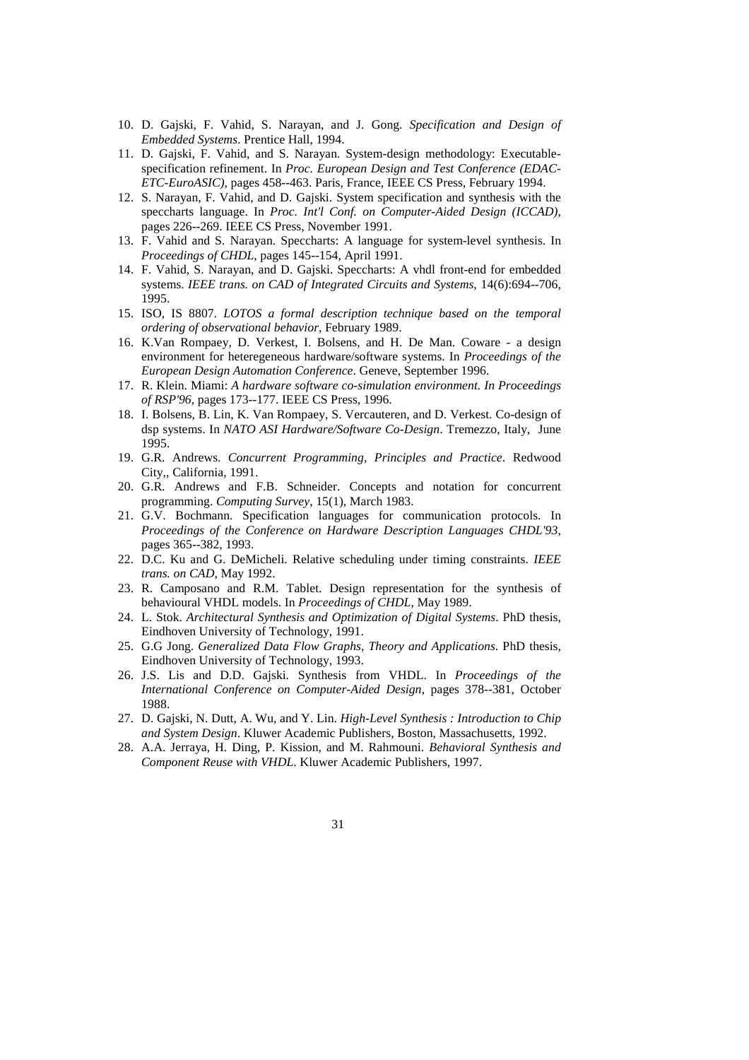- 10. D. Gajski, F. Vahid, S. Narayan, and J. Gong. *Specification and Design of Embedded Systems*. Prentice Hall, 1994.
- 11. D. Gajski, F. Vahid, and S. Narayan. System-design methodology: Executablespecification refinement. In *Proc. European Design and Test Conference (EDAC-ETC-EuroASIC)*, pages 458--463. Paris, France, IEEE CS Press, February 1994.
- 12. S. Narayan, F. Vahid, and D. Gajski. System specification and synthesis with the speccharts language. In *Proc. Int'l Conf. on Computer-Aided Design (ICCAD)*, pages 226--269. IEEE CS Press, November 1991.
- 13. F. Vahid and S. Narayan. Speccharts: A language for system-level synthesis. In *Proceedings of CHDL*, pages 145--154, April 1991.
- 14. F. Vahid, S. Narayan, and D. Gajski. Speccharts: A vhdl front-end for embedded systems. *IEEE trans. on CAD of Integrated Circuits and Systems*, 14(6):694--706, 1995.
- 15. ISO, IS 8807. *LOTOS a formal description technique based on the temporal ordering of observational behavior*, February 1989.
- 16. K.Van Rompaey, D. Verkest, I. Bolsens, and H. De Man. Coware a design environment for heteregeneous hardware/software systems. In *Proceedings of the European Design Automation Conference*. Geneve, September 1996.
- 17. R. Klein. Miami: *A hardware software co-simulation environment. In Proceedings of RSP'96*, pages 173--177. IEEE CS Press, 1996.
- 18. I. Bolsens, B. Lin, K. Van Rompaey, S. Vercauteren, and D. Verkest. Co-design of dsp systems. In *NATO ASI Hardware/Software Co-Design*. Tremezzo, Italy, June 1995.
- 19. G.R. Andrews. *Concurrent Programming, Principles and Practice*. Redwood City,, California, 1991.
- 20. G.R. Andrews and F.B. Schneider. Concepts and notation for concurrent programming. *Computing Survey*, 15(1), March 1983.
- 21. G.V. Bochmann. Specification languages for communication protocols. In *Proceedings of the Conference on Hardware Description Languages CHDL'93*, pages 365--382, 1993.
- 22. D.C. Ku and G. DeMicheli. Relative scheduling under timing constraints. *IEEE trans. on CAD*, May 1992.
- 23. R. Camposano and R.M. Tablet. Design representation for the synthesis of behavioural VHDL models. In *Proceedings of CHDL*, May 1989.
- 24. L. Stok. *Architectural Synthesis and Optimization of Digital Systems*. PhD thesis, Eindhoven University of Technology, 1991.
- 25. G.G Jong. *Generalized Data Flow Graphs, Theory and Applications*. PhD thesis, Eindhoven University of Technology, 1993.
- 26. J.S. Lis and D.D. Gajski. Synthesis from VHDL. In *Proceedings of the International Conference on Computer-Aided Design*, pages 378--381, October 1988.
- 27. D. Gajski, N. Dutt, A. Wu, and Y. Lin. *High-Level Synthesis : Introduction to Chip and System Design*. Kluwer Academic Publishers, Boston, Massachusetts, 1992.
- 28. A.A. Jerraya, H. Ding, P. Kission, and M. Rahmouni. *Behavioral Synthesis and Component Reuse with VHDL*. Kluwer Academic Publishers, 1997.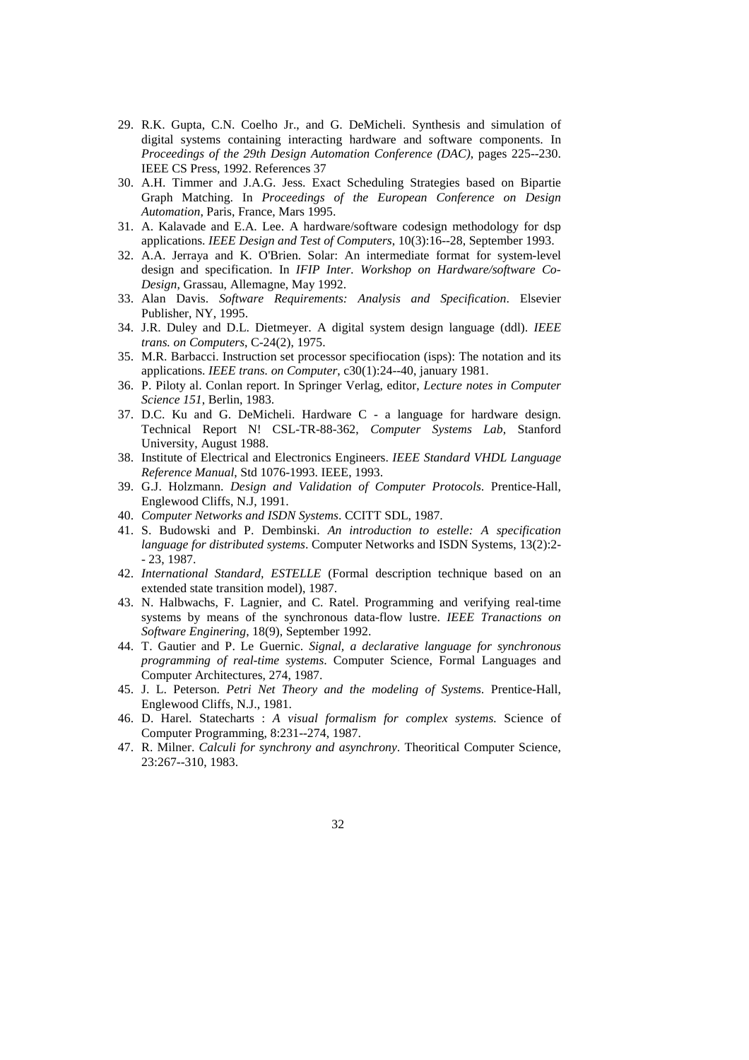- 29. R.K. Gupta, C.N. Coelho Jr., and G. DeMicheli. Synthesis and simulation of digital systems containing interacting hardware and software components. In *Proceedings of the 29th Design Automation Conference (DAC)*, pages 225--230. IEEE CS Press, 1992. References 37
- 30. A.H. Timmer and J.A.G. Jess. Exact Scheduling Strategies based on Bipartie Graph Matching. In *Proceedings of the European Conference on Design Automation*, Paris, France, Mars 1995.
- 31. A. Kalavade and E.A. Lee. A hardware/software codesign methodology for dsp applications. *IEEE Design and Test of Computers*, 10(3):16--28, September 1993.
- 32. A.A. Jerraya and K. O'Brien. Solar: An intermediate format for system-level design and specification. In *IFIP Inter. Workshop on Hardware/software Co-Design*, Grassau, Allemagne, May 1992.
- 33. Alan Davis. *Software Requirements: Analysis and Specification*. Elsevier Publisher, NY, 1995.
- 34. J.R. Duley and D.L. Dietmeyer. A digital system design language (ddl). *IEEE trans. on Computers*, C-24(2), 1975.
- 35. M.R. Barbacci. Instruction set processor specifiocation (isps): The notation and its applications. *IEEE trans. on Computer*, c30(1):24--40, january 1981.
- 36. P. Piloty al. Conlan report. In Springer Verlag, editor, *Lecture notes in Computer Science 151*, Berlin, 1983.
- 37. D.C. Ku and G. DeMicheli. Hardware C a language for hardware design. Technical Report N! CSL-TR-88-362, *Computer Systems Lab*, Stanford University, August 1988.
- 38. Institute of Electrical and Electronics Engineers. *IEEE Standard VHDL Language Reference Manual*, Std 1076-1993. IEEE, 1993.
- 39. G.J. Holzmann. *Design and Validation of Computer Protocols*. Prentice-Hall, Englewood Cliffs, N.J, 1991.
- 40. *Computer Networks and ISDN Systems*. CCITT SDL, 1987.
- 41. S. Budowski and P. Dembinski. *An introduction to estelle: A specification language for distributed systems*. Computer Networks and ISDN Systems, 13(2):2- - 23, 1987.
- 42. *International Standard, ESTELLE* (Formal description technique based on an extended state transition model), 1987.
- 43. N. Halbwachs, F. Lagnier, and C. Ratel. Programming and verifying real-time systems by means of the synchronous data-flow lustre. *IEEE Tranactions on Software Enginering*, 18(9), September 1992.
- 44. T. Gautier and P. Le Guernic. *Signal, a declarative language for synchronous programming of real-time systems*. Computer Science, Formal Languages and Computer Architectures, 274, 1987.
- 45. J. L. Peterson. *Petri Net Theory and the modeling of Systems*. Prentice-Hall, Englewood Cliffs, N.J., 1981.
- 46. D. Harel. Statecharts : *A visual formalism for complex systems.* Science of Computer Programming, 8:231--274, 1987.
- 47. R. Milner. *Calculi for synchrony and asynchrony*. Theoritical Computer Science, 23:267--310, 1983.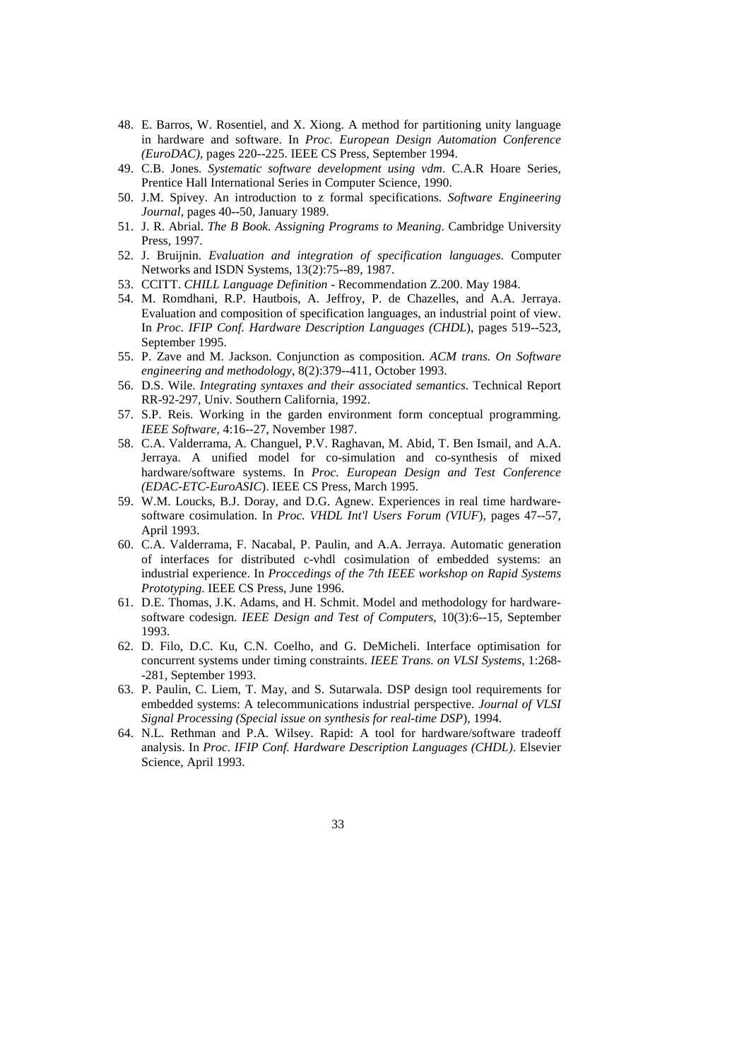- 48. E. Barros, W. Rosentiel, and X. Xiong. A method for partitioning unity language in hardware and software. In *Proc. European Design Automation Conference (EuroDAC)*, pages 220--225. IEEE CS Press, September 1994.
- 49. C.B. Jones. *Systematic software development using vdm*. C.A.R Hoare Series, Prentice Hall International Series in Computer Science, 1990.
- 50. J.M. Spivey. An introduction to z formal specifications. *Software Engineering Journal*, pages 40--50, January 1989.
- 51. J. R. Abrial. *The B Book. Assigning Programs to Meaning*. Cambridge University Press, 1997.
- 52. J. Bruijnin. *Evaluation and integration of specification languages*. Computer Networks and ISDN Systems, 13(2):75--89, 1987.
- 53. CCITT. *CHILL Language Definition* Recommendation Z.200. May 1984.
- 54. M. Romdhani, R.P. Hautbois, A. Jeffroy, P. de Chazelles, and A.A. Jerraya. Evaluation and composition of specification languages, an industrial point of view. In *Proc. IFIP Conf. Hardware Description Languages (CHDL*), pages 519--523, September 1995.
- 55. P. Zave and M. Jackson. Conjunction as composition. *ACM trans. On Software engineering and methodology*, 8(2):379--411, October 1993.
- 56. D.S. Wile. *Integrating syntaxes and their associated semantics*. Technical Report RR-92-297, Univ. Southern California, 1992.
- 57. S.P. Reis. Working in the garden environment form conceptual programming. *IEEE Software*, 4:16--27, November 1987.
- 58. C.A. Valderrama, A. Changuel, P.V. Raghavan, M. Abid, T. Ben Ismail, and A.A. Jerraya. A unified model for co-simulation and co-synthesis of mixed hardware/software systems. In *Proc. European Design and Test Conference (EDAC-ETC-EuroASIC*). IEEE CS Press, March 1995.
- 59. W.M. Loucks, B.J. Doray, and D.G. Agnew. Experiences in real time hardwaresoftware cosimulation. In *Proc. VHDL Int'l Users Forum (VIUF*), pages 47--57, April 1993.
- 60. C.A. Valderrama, F. Nacabal, P. Paulin, and A.A. Jerraya. Automatic generation of interfaces for distributed c-vhdl cosimulation of embedded systems: an industrial experience. In *Proccedings of the 7th IEEE workshop on Rapid Systems Prototyping*. IEEE CS Press, June 1996.
- 61. D.E. Thomas, J.K. Adams, and H. Schmit. Model and methodology for hardwaresoftware codesign. *IEEE Design and Test of Computers*, 10(3):6--15, September 1993.
- 62. D. Filo, D.C. Ku, C.N. Coelho, and G. DeMicheli. Interface optimisation for concurrent systems under timing constraints. *IEEE Trans. on VLSI Systems*, 1:268- -281, September 1993.
- 63. P. Paulin, C. Liem, T. May, and S. Sutarwala. DSP design tool requirements for embedded systems: A telecommunications industrial perspective. *Journal of VLSI Signal Processing (Special issue on synthesis for real-time DSP*), 1994.
- 64. N.L. Rethman and P.A. Wilsey. Rapid: A tool for hardware/software tradeoff analysis. In *Proc. IFIP Conf. Hardware Description Languages (CHDL)*. Elsevier Science, April 1993.